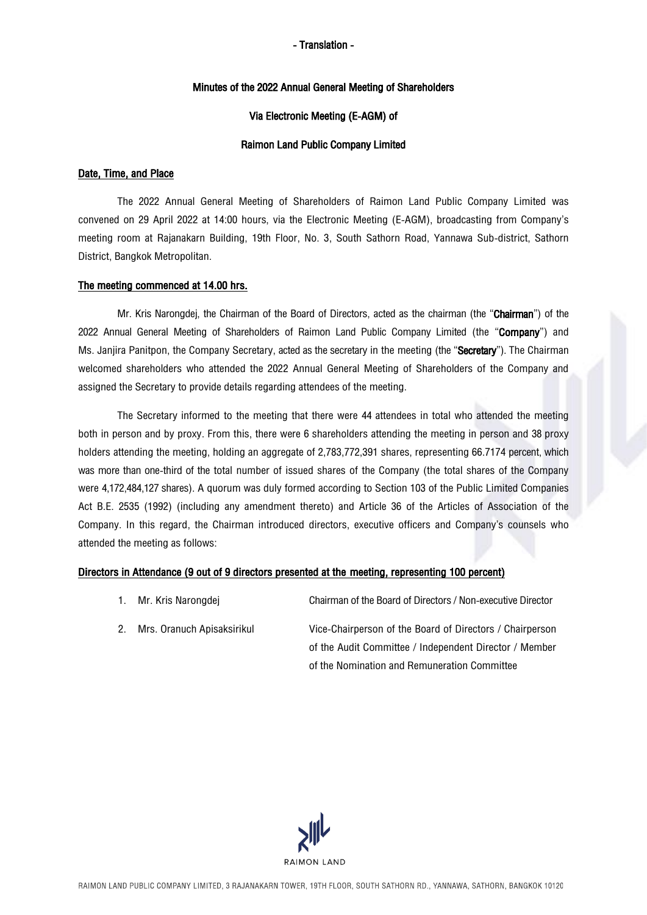### Minutes of the 2022 Annual General Meeting of Shareholders

### Via Electronic Meeting (E-AGM) of

## Raimon Land Public Company Limited

## Date, Time, and Place

The 2022 Annual General Meeting of Shareholders of Raimon Land Public Company Limited was convened on 29 April 2022 at 14:00 hours, via the Electronic Meeting (E-AGM), broadcasting from Company's meeting room at Rajanakarn Building, 19th Floor, No. 3, South Sathorn Road, Yannawa Sub-district, Sathorn District, Bangkok Metropolitan.

## The meeting commenced at 14.00 hrs.

Mr. Kris Narongdej, the Chairman of the Board of Directors, acted as the chairman (the "Chairman") of the 2022 Annual General Meeting of Shareholders of Raimon Land Public Company Limited (the "Company") and Ms. Janjira Panitpon, the Company Secretary, acted as the secretary in the meeting (the "Secretary"). The Chairman welcomed shareholders who attended the 2022 Annual General Meeting of Shareholders of the Company and assigned the Secretary to provide details regarding attendees of the meeting.

The Secretary informed to the meeting that there were 44 attendees in total who attended the meeting both in person and by proxy. From this, there were 6 shareholders attending the meeting in person and 38 proxy holders attending the meeting, holding an aggregate of 2,783,772,391 shares, representing 66.7174 percent, which was more than one-third of the total number of issued shares of the Company (the total shares of the Company were 4,172,484,127 shares). A quorum was duly formed according to Section 103 of the Public Limited Companies Act B.E. 2535 (1992) (including any amendment thereto) and Article 36 of the Articles of Association of the Company. In this regard, the Chairman introduced directors, executive officers and Company's counsels who attended the meeting as follows:

## Directors in Attendance (9 out of 9 directors presented at the meeting, representing 100 percent)

- 1. Mr. Kris Narongdej Chairman of the Board of Directors/ Non-executive Director
- 2. Mrs. Oranuch Apisaksirikul Vice-Chairperson of the Board of Directors / Chairperson of the Audit Committee / Independent Director / Member of the Nomination and Remuneration Committee

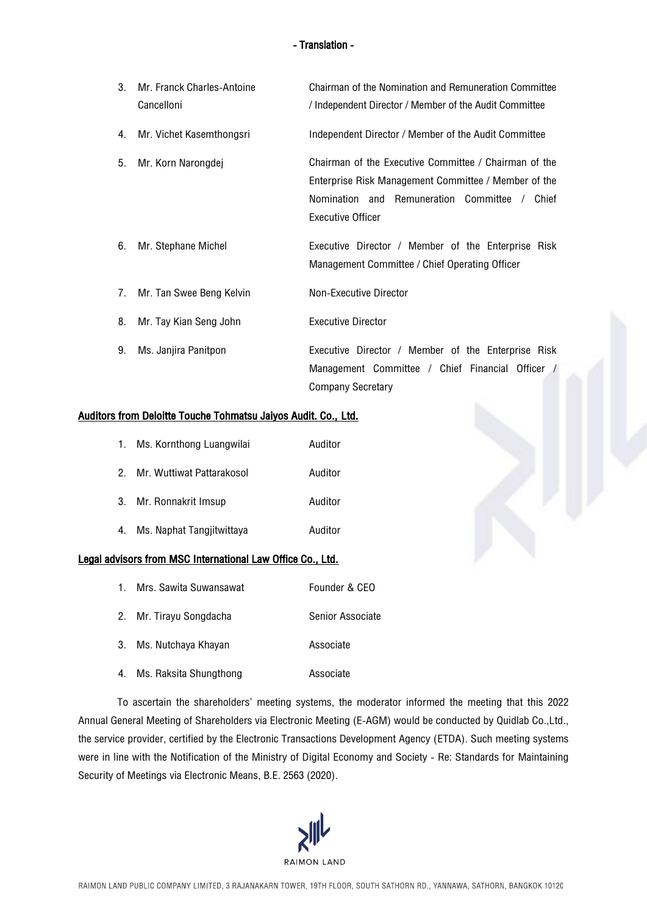| 3. | Mr. Franck Charles-Antoine<br>Cancelloni | Chairman of the Nomination and Remuneration Committee<br>/ Independent Director / Member of the Audit Committee                                                                               |  |  |
|----|------------------------------------------|-----------------------------------------------------------------------------------------------------------------------------------------------------------------------------------------------|--|--|
| 4. | Mr. Vichet Kasemthongsri                 | Independent Director / Member of the Audit Committee                                                                                                                                          |  |  |
| 5. | Mr. Korn Narongdej                       | Chairman of the Executive Committee / Chairman of the<br>Enterprise Risk Management Committee / Member of the<br>Nomination and Remuneration Committee /<br>Chief<br><b>Executive Officer</b> |  |  |
| 6. | Mr. Stephane Michel                      | Executive Director / Member of the Enterprise Risk<br>Management Committee / Chief Operating Officer                                                                                          |  |  |
| 7. | Mr. Tan Swee Beng Kelvin                 | Non-Executive Director                                                                                                                                                                        |  |  |
| 8. | Mr. Tay Kian Seng John                   | <b>Executive Director</b>                                                                                                                                                                     |  |  |
| 9. | Ms. Janjira Panitpon                     | Executive Director / Member of the Enterprise Risk<br>Management Committee / Chief Financial Officer /<br><b>Company Secretary</b>                                                            |  |  |

### Auditors from Deloitte Touche Tohmatsu Jaiyos Audit. Co., Ltd.

|    | 1. Ms. Kornthong Luangwilai  | Auditor |
|----|------------------------------|---------|
|    | 2. Mr. Wuttiwat Pattarakosol | Auditor |
|    | 3. Mr. Ronnakrit Imsup       | Auditor |
| 4. | Ms. Naphat Tangjitwittaya    | Auditor |

## Legal advisors from MSC International Law Office Co., Ltd.

| 1. Mrs. Sawita Suwansawat | Founder & CEO    |
|---------------------------|------------------|
| 2. Mr. Tirayu Songdacha   | Senior Associate |
| 3. Ms. Nutchaya Khayan    | Associate        |
| 4. Ms. Raksita Shungthong | Associate        |

To ascertain the shareholders' meeting systems, the moderator informed the meeting that this 2022 Annual General Meeting of Shareholders via Electronic Meeting (E-AGM) would be conducted by Quidlab Co.,Ltd., the service provider, certified by the Electronic Transactions Development Agency (ETDA). Such meeting systems were in line with the Notification of the Ministry of Digital Economy and Society - Re: Standards for Maintaining Security of Meetings via Electronic Means, B.E. 2563 (2020).

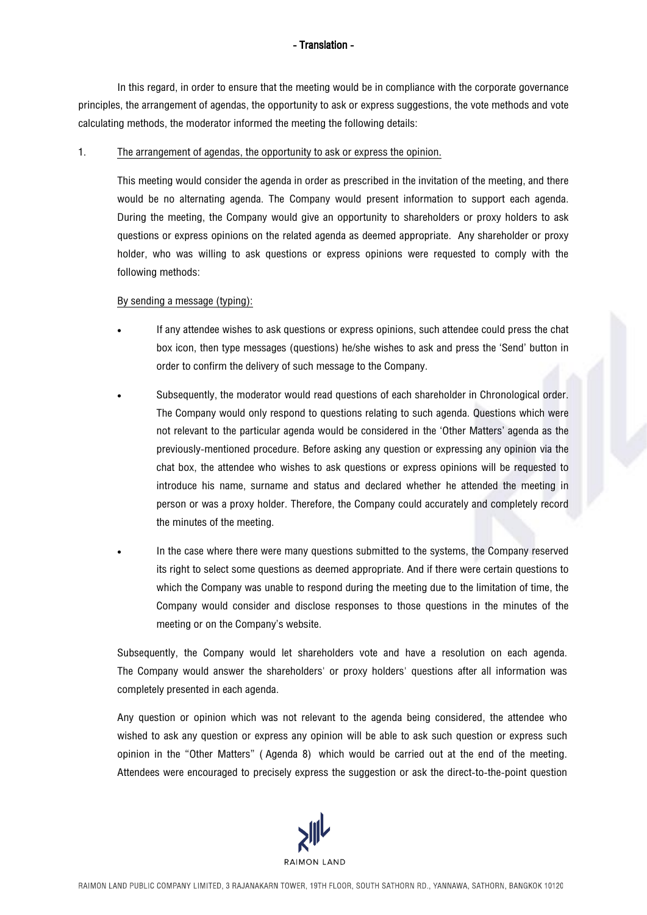In this regard, in order to ensure that the meeting would be in compliance with the corporate governance principles, the arrangement of agendas, the opportunity to ask or express suggestions, the vote methods and vote calculating methods, the moderator informed the meeting the following details:

## 1. The arrangement of agendas, the opportunity to ask or express the opinion.

This meeting would consider the agenda in order as prescribed in the invitation of the meeting, and there would be no alternating agenda. The Company would present information to support each agenda. During the meeting, the Company would give an opportunity to shareholders or proxy holders to ask questions or express opinions on the related agenda as deemed appropriate. Any shareholder or proxy holder, who was willing to ask questions or express opinions were requested to comply with the following methods:

## By sending a message (typing):

- If any attendee wishes to ask questions or express opinions, such attendee could press the chat box icon, then type messages (questions) he/she wishes to ask and press the 'Send' button in order to confirm the delivery of such message to the Company.
- Subsequently, the moderator would read questions of each shareholder in Chronological order. The Company would only respond to questions relating to such agenda. Questions which were not relevant to the particular agenda would be considered in the 'Other Matters' agenda as the previously-mentioned procedure. Before asking any question or expressing any opinion via the chat box, the attendee who wishes to ask questions or express opinions will be requested to introduce his name, surname and status and declared whether he attended the meeting in person or was a proxy holder. Therefore, the Company could accurately and completely record the minutes of the meeting.
- In the case where there were many questions submitted to the systems, the Company reserved its right to select some questions as deemed appropriate. And if there were certain questions to which the Company was unable to respond during the meeting due to the limitation of time, the Company would consider and disclose responses to those questions in the minutes of the meeting or on the Company's website.

Subsequently, the Company would let shareholders vote and have a resolution on each agenda. The Company would answer the shareholders' or proxy holders' questions after all information was completely presented in each agenda.

Any question or opinion which was not relevant to the agenda being considered, the attendee who wished to ask any question or express any opinion will be able to ask such question or express such opinion in the "Other Matters" ( Agenda 8) which would be carried out at the end of the meeting. Attendees were encouraged to precisely express the suggestion or ask the direct-to-the-point question

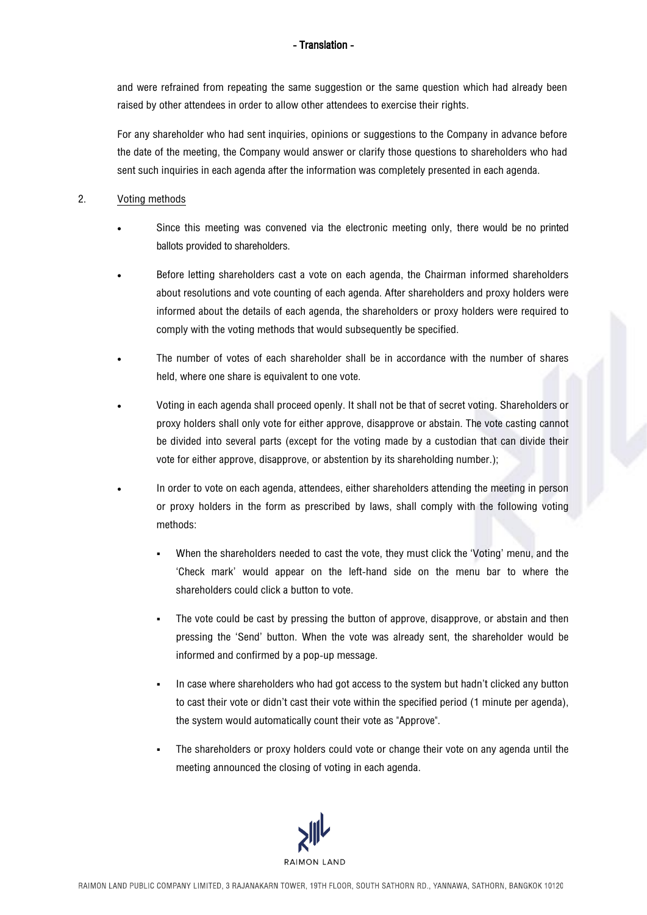and were refrained from repeating the same suggestion or the same question which had already been raised by other attendees in order to allow other attendees to exercise their rights.

For any shareholder who had sent inquiries, opinions or suggestions to the Company in advance before the date of the meeting, the Company would answer or clarify those questions to shareholders who had sent such inquiries in each agenda after the information was completely presented in each agenda.

## 2. Voting methods

- Since this meeting was convened via the electronic meeting only, there would be no printed ballots provided to shareholders.
- Before letting shareholders cast a vote on each agenda, the Chairman informed shareholders about resolutions and vote counting of each agenda. After shareholders and proxy holders were informed about the details of each agenda, the shareholders or proxy holders were required to comply with the voting methods that would subsequently be specified.
- The number of votes of each shareholder shall be in accordance with the number of shares held, where one share is equivalent to one vote.
- Voting in each agenda shall proceed openly. It shall not be that of secret voting. Shareholders or proxy holders shall only vote for either approve, disapprove or abstain. The vote casting cannot be divided into several parts (except for the voting made by a custodian that can divide their vote for either approve, disapprove, or abstention by its shareholding number.);
- In order to vote on each agenda, attendees, either shareholders attending the meeting in person or proxy holders in the form as prescribed by laws, shall comply with the following voting methods:
	- When the shareholders needed to cast the vote, they must click the 'Voting' menu, and the 'Check mark' would appear on the left-hand side on the menu bar to where the shareholders could click a button to vote.
	- The vote could be cast by pressing the button of approve, disapprove, or abstain and then pressing the 'Send' button. When the vote was already sent, the shareholder would be informed and confirmed by a pop-up message.
	- In case where shareholders who had got access to the system but hadn't clicked any button to cast their vote or didn't cast their vote within the specified period (1 minute per agenda), the system would automatically count their vote as "Approve".
	- The shareholders or proxy holders could vote or change their vote on any agenda until the meeting announced the closing of voting in each agenda.

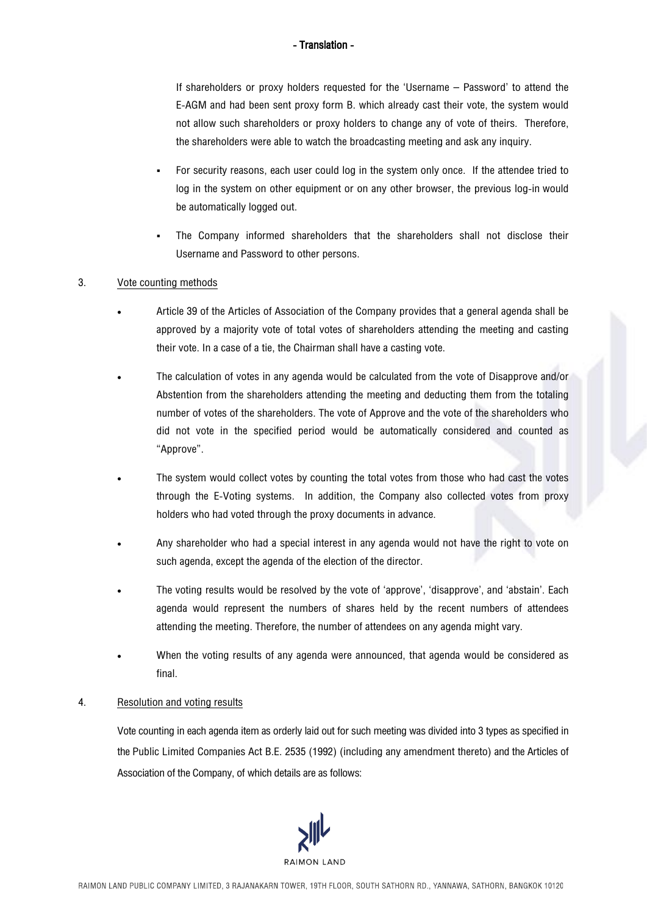If shareholders or proxy holders requested for the 'Username – Password' to attend the E-AGM and had been sent proxy form B. which already cast their vote, the system would not allow such shareholders or proxy holders to change any of vote of theirs. Therefore, the shareholders were able to watch the broadcasting meeting and ask any inquiry.

- For security reasons, each user could log in the system only once. If the attendee tried to log in the system on other equipment or on any other browser, the previous log-in would be automatically logged out.
- The Company informed shareholders that the shareholders shall not disclose their Username and Password to other persons.

## 3. Vote counting methods

- Article 39 of the Articles of Association of the Company provides that a general agenda shall be approved by a majority vote of total votes of shareholders attending the meeting and casting their vote. In a case of a tie, the Chairman shall have a casting vote.
- The calculation of votes in any agenda would be calculated from the vote of Disapprove and/or Abstention from the shareholders attending the meeting and deducting them from the totaling number of votes of the shareholders. The vote of Approve and the vote of the shareholders who did not vote in the specified period would be automatically considered and counted as "Approve".
- The system would collect votes by counting the total votes from those who had cast the votes through the E-Voting systems. In addition, the Company also collected votes from proxy holders who had voted through the proxy documents in advance.
- Any shareholder who had a special interest in any agenda would not have the right to vote on such agenda, except the agenda of the election of the director.
- The voting results would be resolved by the vote of 'approve', 'disapprove', and 'abstain'. Each agenda would represent the numbers of shares held by the recent numbers of attendees attending the meeting. Therefore, the number of attendees on any agenda might vary.
- When the voting results of any agenda were announced, that agenda would be considered as final.

## 4. Resolution and voting results

Vote counting in each agenda item as orderly laid out for such meeting was divided into 3 types as specified in the Public Limited Companies Act B.E. 2535 (1992) (including any amendment thereto) and the Articles of Association of the Company, of which details are as follows:

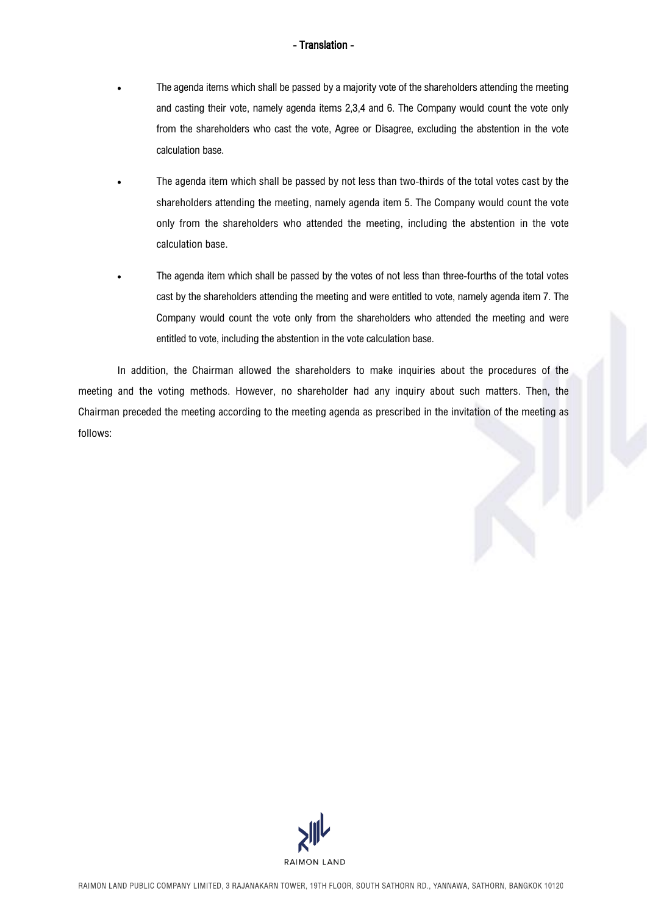- The agenda items which shall be passed by a majority vote of the shareholders attending the meeting and casting their vote, namely agenda items 2,3,4 and 6. The Company would count the vote only from the shareholders who cast the vote, Agree or Disagree, excluding the abstention in the vote calculation base.
- The agenda item which shall be passed by not less than two-thirds of the total votes cast by the shareholders attending the meeting, namely agenda item 5. The Company would count the vote only from the shareholders who attended the meeting, including the abstention in the vote calculation base.
- The agenda item which shall be passed by the votes of not less than three-fourths of the total votes cast by the shareholders attending the meeting and were entitled to vote, namely agenda item 7. The Company would count the vote only from the shareholders who attended the meeting and were entitled to vote, including the abstention in the vote calculation base.

In addition, the Chairman allowed the shareholders to make inquiries about the procedures of the meeting and the voting methods. However, no shareholder had any inquiry about such matters. Then, the Chairman preceded the meeting according to the meeting agenda as prescribed in the invitation of the meeting as follows:

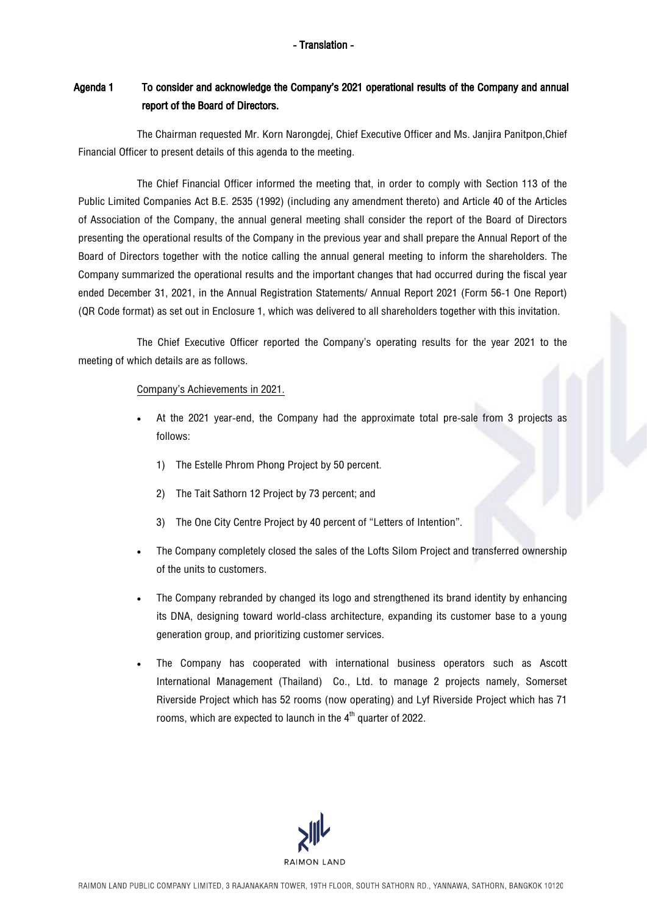# Agenda 1 To consider and acknowledge the Company's 2021 operational results of the Company and annual report of the Board of Directors.

The Chairman requested Mr. Korn Narongdej, Chief Executive Officer and Ms. Janjira Panitpon, Chief Financial Officer to present details of this agenda to the meeting.

The Chief Financial Officer informed the meeting that, in order to comply with Section 113 of the Public Limited Companies Act B.E. 2535 (1992) (including any amendment thereto) and Article 40 of the Articles of Association of the Company, the annual general meeting shall consider the report of the Board of Directors presenting the operational results of the Company in the previous year and shall prepare the Annual Report of the Board of Directors together with the notice calling the annual general meeting to inform the shareholders. The Company summarized the operational results and the important changes that had occurred during the fiscal year ended December 31, 2021, in the Annual Registration Statements/ Annual Report 2021 (Form 56-1 One Report) (QR Code format) as set out in Enclosure 1, which was delivered to all shareholders together with this invitation.

The Chief Executive Officer reported the Company's operating results for the year 2021 to the meeting of which details are as follows.

### Company's Achievements in 2021.

- At the 2021 year-end, the Company had the approximate total pre-sale from 3 projects as follows:
	- 1) The Estelle Phrom Phong Project by 50 percent.
	- 2) The Tait Sathorn 12 Project by 73 percent; and
	- 3) The One City Centre Project by 40 percent of "Letters of Intention".
- The Company completely closed the sales of the Lofts Silom Project and transferred ownership of the units to customers.
- The Company rebranded by changed its logo and strengthened its brand identity by enhancing its DNA, designing toward world-class architecture, expanding its customer base to a young generation group, and prioritizing customer services.
- The Company has cooperated with international business operators such as Ascott International Management (Thailand) Co., Ltd. to manage 2 projects namely, Somerset Riverside Project which has 52 rooms (now operating) and Lyf Riverside Project which has 71 rooms, which are expected to launch in the  $4^{\text{th}}$  quarter of 2022.

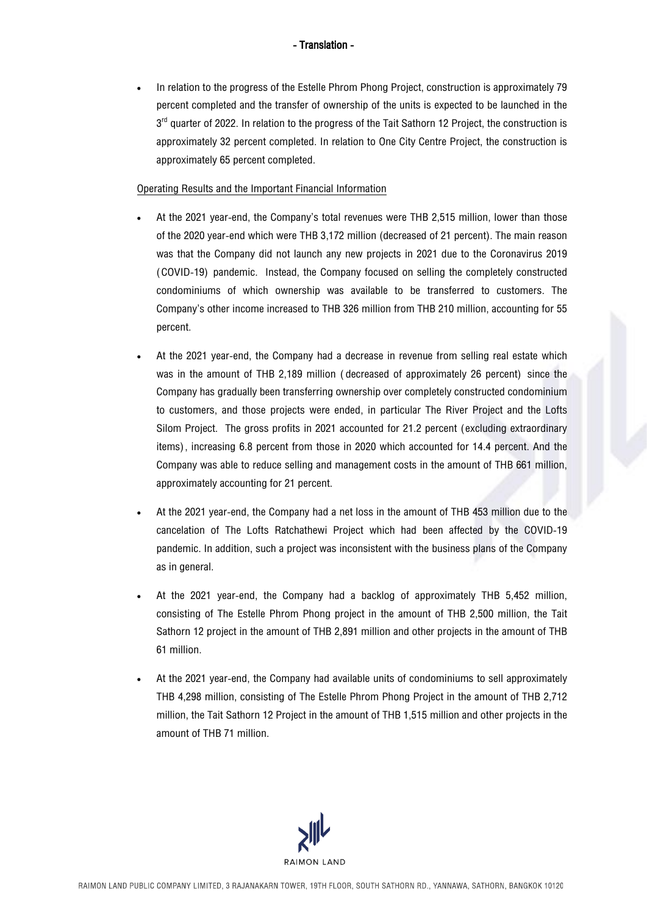• In relation to the progress of the Estelle Phrom Phong Project, construction is approximately 79 percent completed and the transfer of ownership of the units is expected to be launched in the 3<sup>rd</sup> quarter of 2022. In relation to the progress of the Tait Sathorn 12 Project, the construction is approximately 32 percent completed. In relation to One City Centre Project, the construction is approximately 65 percent completed.

## Operating Results and the Important Financial Information

- At the 2021 year-end, the Company's total revenues were THB 2,515 million, lower than those of the 2020 year-end which were THB 3,172 million (decreased of 21 percent). The main reason was that the Company did not launch any new projects in 2021 due to the Coronavirus 2019 (COVID-19) pandemic. Instead, the Company focused on selling the completely constructed condominiums of which ownership was available to be transferred to customers. The Company's other income increased to THB 326 million from THB 210 million, accounting for 55 percent.
- At the 2021 year-end, the Company had a decrease in revenue from selling real estate which was in the amount of THB 2,189 million (decreased of approximately 26 percent) since the Company has graduallybeen transferring ownership over completely constructed condominium to customers, and those projects were ended, in particular The River Project and the Lofts Silom Project. The gross profits in 2021 accounted for 21.2 percent (excluding extraordinary items), increasing 6.8 percent from those in 2020 which accounted for 14.4 percent. And the Company was able to reduce selling and management costs in the amount of THB 661 million, approximately accounting for 21 percent.
- At the 2021 year-end, the Company had a net loss in the amount of THB 453 million due to the cancelation of The Lofts Ratchathewi Project which had been affected by the COVID-19 pandemic. In addition, such a project was inconsistent with the business plans of the Company as in general.
- At the 2021 year-end, the Company had a backlog of approximately THB 5,452 million, consisting of The Estelle Phrom Phong project in the amount of THB 2,500 million, the Tait Sathorn 12 project in the amount of THB 2,891 million and other projects in the amount of THB 61 million.
- At the 2021 year-end, the Company had available units of condominiums to sell approximately THB 4,298 million, consisting of The Estelle Phrom Phong Project in the amount of THB 2,712 million, the Tait Sathorn 12 Project in the amount of THB 1,515 million and other projects in the amount of THB 71 million.

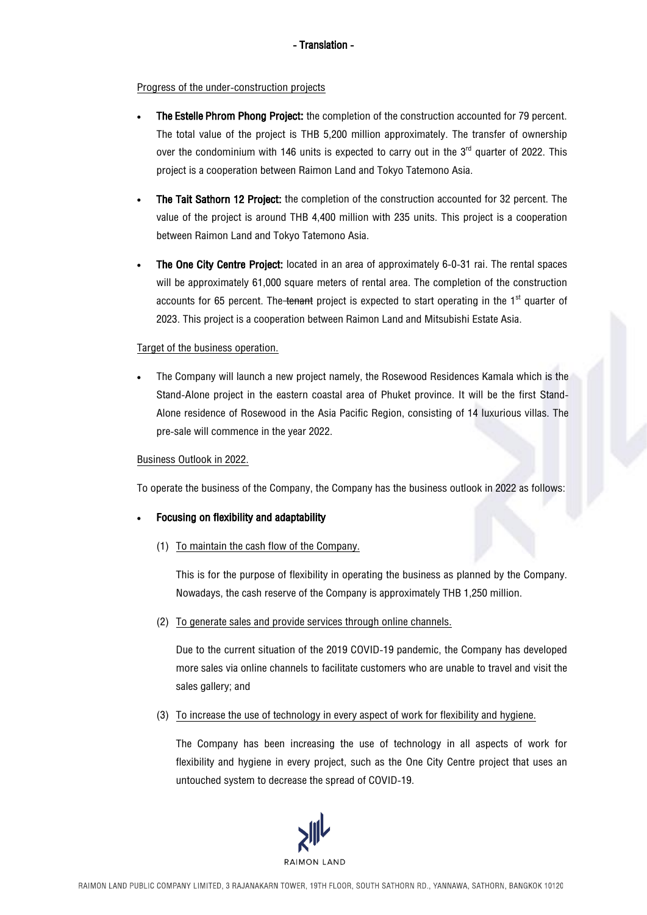### Progress of the under-construction projects

- The Estelle Phrom Phong Project: the completion of the construction accounted for 79 percent. The total value of the project is THB 5,200 million approximately. The transfer of ownership over the condominium with 146 units is expected to carry out in the  $3<sup>rd</sup>$  quarter of 2022. This project is a cooperation between Raimon Land and Tokyo Tatemono Asia.
- The Tait Sathorn 12 Project: the completion of the construction accounted for 32 percent. The value of the project is around THB 4,400 million with 235 units. This project is a cooperation between Raimon Land and Tokyo Tatemono Asia.
- The One City Centre Project: located in an area of approximately 6-0-31 rai. The rental spaces will be approximately 61,000 square meters of rental area. The completion of the construction accounts for 65 percent. The tenant project is expected to start operating in the  $1<sup>st</sup>$  quarter of 2023. This project is a cooperation between Raimon Land and Mitsubishi Estate Asia.

## Target of the business operation.

The Company will launch a new project namely, the Rosewood Residences Kamala which is the Stand-Alone project in the eastern coastal area of Phuket province. It will be the first Stand-Alone residence of Rosewood in the Asia Pacific Region, consisting of 14 luxurious villas. The pre-sale will commence in the year 2022.

### Business Outlook in 2022.

To operate the business of the Company, the Companyhas the business outlook in 2022 as follows:

### • Focusing on flexibility and adaptability

(1) To maintain the cash flow of the Company.

This is for the purpose of flexibility in operating the business as planned by the Company. Nowadays, the cash reserve of the Company is approximately THB 1,250 million.

(2) To generate sales and provide services through online channels.

Due to the current situation of the 2019 COVID-19 pandemic, the Company has developed more sales via online channels to facilitate customers who are unable to travel and visit the sales gallery; and

(3) To increase the use of technology in every aspect of work for flexibility and hygiene.

The Company has been increasing the use of technology in all aspects of work for flexibility and hygiene in every project, such as the One City Centre project that uses an untouched system to decrease the spread of COVID-19.

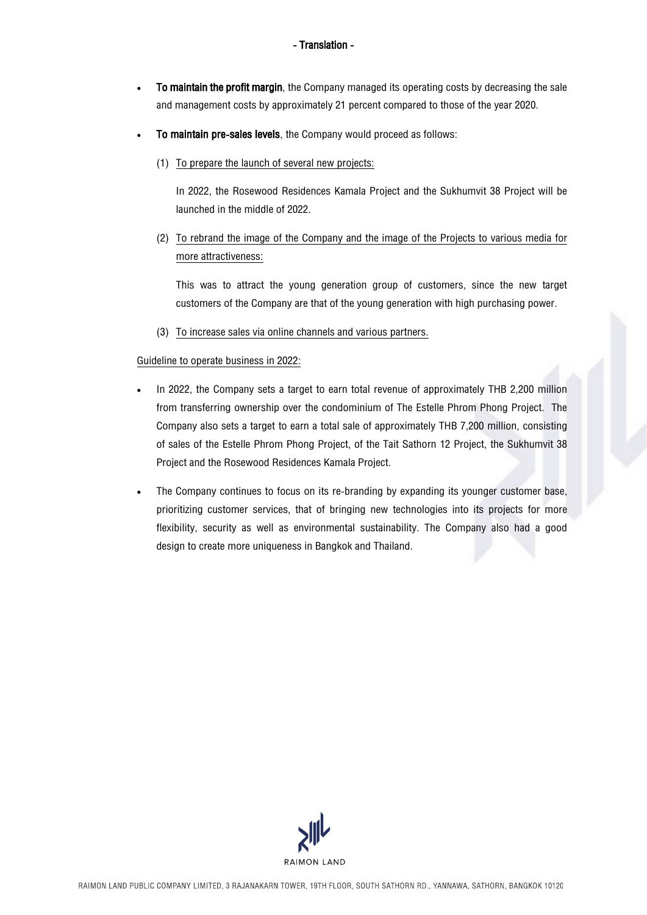- To maintain the profit margin, the Company managed its operating costs by decreasing the sale and management costs by approximately 21 percent compared to those of the year 2020.
- To maintain pre-sales levels, the Company would proceed as follows:
	- (1) To prepare the launch of several new projects:

In 2022, the Rosewood Residences Kamala Project and the Sukhumvit 38 Project will be launched in the middle of 2022.

(2) To rebrand the image of the Company and the image of the Projects to various media for more attractiveness:

This was to attract the young generation group of customers, since the new target customers of the Company are that of the young generation with high purchasing power.

(3) To increase sales via online channels and various partners.

## Guideline to operate business in 2022:

- In 2022, the Company sets a target to earn total revenue of approximately THB 2,200 million from transferring ownership over the condominium of The Estelle Phrom Phong Project. The Company also sets a target to earn a total sale of approximately THB 7,200 million, consisting of sales of the Estelle Phrom Phong Project, of the Tait Sathorn 12 Project, the Sukhumvit 38 Project and the Rosewood Residences Kamala Project.
- The Company continues to focus on its re-branding by expanding its younger customer base, prioritizing customer services, that of bringing new technologies into its projects for more flexibility, security as well as environmental sustainability. The Company also had a good design to create more uniqueness in Bangkok and Thailand.

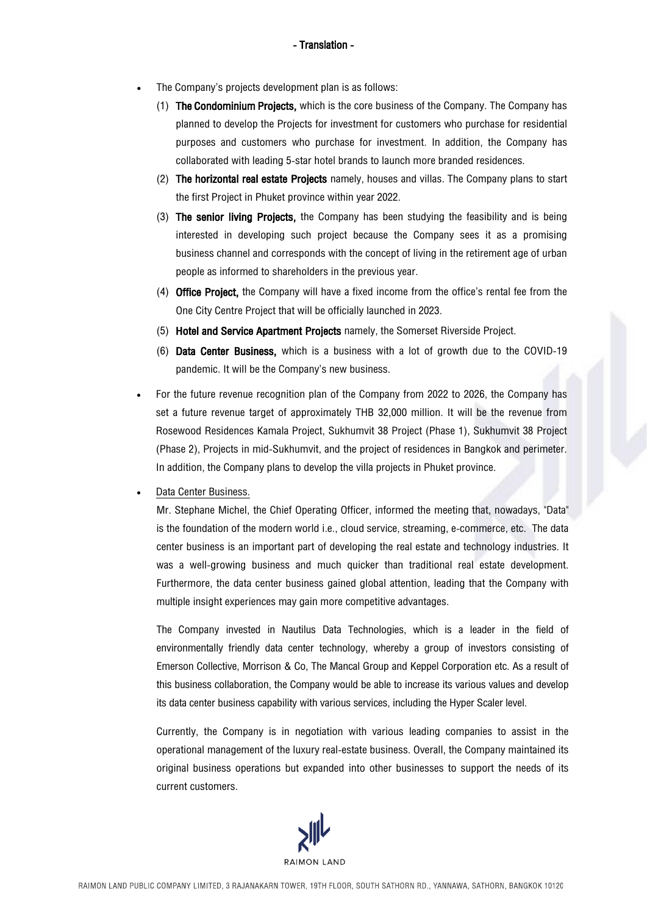- The Company's projects development plan is as follows:
	- (1) The Condominium Projects, which is the core business of the Company. The Company has planned to develop the Projects for investment for customers who purchase for residential purposes and customers who purchase for investment. In addition, the Company has collaborated with leading 5-star hotel brands to launch more branded residences.
	- (2) The horizontal real estate Projects namely, houses and villas. The Company plans to start the first Project in Phuket province within year 2022.
	- (3) The senior living Projects, the Company has been studying the feasibility and is being interested in developing such project because the Company sees it as a promising business channel and corresponds with the concept of living in the retirement age of urban people as informed to shareholders in the previous year.
	- (4) Office Project, the Company will have a fixed income from the office's rental fee from the One City Centre Project that will be officially launched in 2023.
	- (5) Hotel and Service Apartment Projects namely, the Somerset Riverside Project.
	- (6) Data Center Business, which is a business with a lot of growth due to the COVID-19 pandemic. It will be the Company's new business.
- For the future revenue recognition plan of the Company from 2022 to 2026, the Company has set a future revenue target of approximately THB 32,000 million. It will be the revenue from Rosewood Residences Kamala Project, Sukhumvit 38 Project (Phase 1), Sukhumvit 38 Project (Phase 2), Projects in mid-Sukhumvit, and the project of residences in Bangkok and perimeter. In addition, the Company plans to develop the villa projects in Phuket province.
- Data Center Business.

Mr. Stephane Michel, the Chief Operating Officer, informed the meeting that, nowadays, "Data" is the foundation of the modern world i.e., cloud service, streaming, e-commerce, etc. The data center business is an important part of developing the real estate and technology industries. It was a well-growing business and much quicker than traditional real estate development. Furthermore, the data center business gained global attention, leading that the Company with multiple insight experiences maygain more competitive advantages.

The Company invested in Nautilus Data Technologies, which is a leader in the field of environmentally friendly data center technology, whereby a group of investors consisting of Emerson Collective, Morrison & Co, The Mancal Group and Keppel Corporation etc. As a result of this business collaboration, the Company would be able to increase its various values and develop its data center business capability with various services, including the Hyper Scaler level.

Currently, the Company is in negotiation with various leading companies to assist in the operational management of the luxury real-estate business. Overall, the Company maintained its original business operations but expanded into other businesses to support the needs of its current customers.

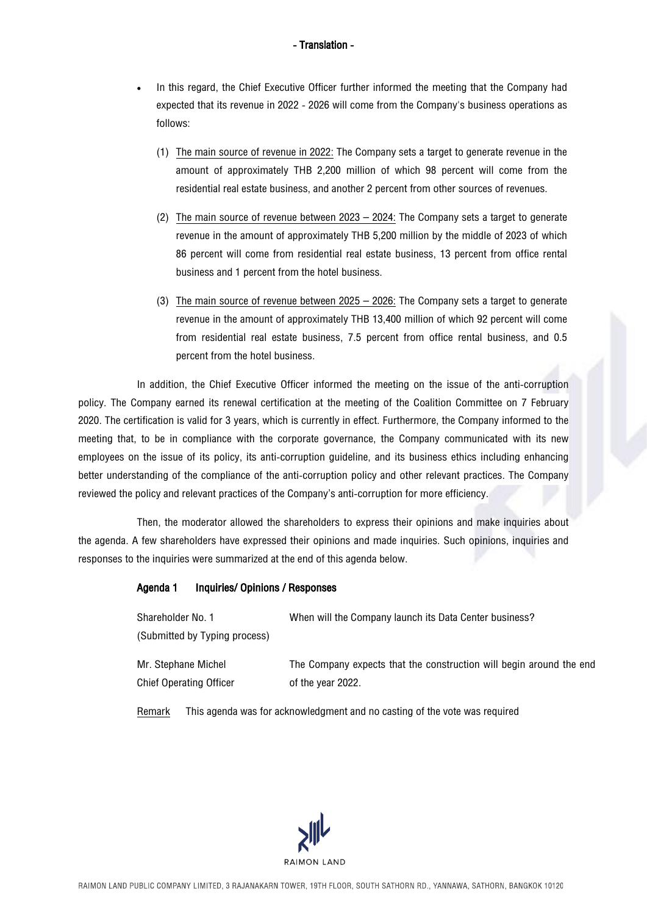- In this regard, the Chief Executive Officer further informed the meeting that the Company had expected that its revenue in 2022 - 2026 will come from the Company's business operations as follows:
	- (1) The main source of revenue in 2022: The Company sets a target to generate revenue in the amount of approximately THB 2,200 million of which 98 percent will come from the residential real estate business, and another 2 percent from other sources of revenues.
	- (2) The main source of revenue between 2023 2024: The Company sets a target to generate revenue in the amount of approximately THB 5,200 million by the middle of 2023 of which 86 percent will come from residential real estate business, 13 percent from office rental business and 1 percent from the hotel business.
	- (3) The main source of revenue between 2025 2026: The Company sets a target to generate revenue in the amount of approximately THB 13,400 million of which 92 percent will come from residential real estate business, 7.5 percent from office rental business, and 0.5 percent from the hotel business.

In addition, the Chief Executive Officer informed the meeting on the issue of the anti-corruption policy. The Company earned its renewal certification at the meeting of the Coalition Committee on 7 February 2020. The certification is valid for 3 years, which is currently in effect. Furthermore, the Company informed to the meeting that, to be in compliance with the corporate governance, the Company communicated with its new employees on the issue of its policy, its anti-corruption guideline, and its business ethics including enhancing better understanding of the compliance of the anti-corruption policy and other relevant practices. The Company reviewed the policy and relevant practices of the Company's anti-corruption for more efficiency.

Then, the moderator allowed the shareholders to express their opinions and make inquiries about the agenda. A few shareholders have expressed their opinions and made inquiries. Such opinions, inquiries and responses to the inquiries were summarized at the end of this agenda below.

### Agenda 1 Inquiries/ Opinions / Responses

| Shareholder No. 1              | When will the Company launch its Data Center business?              |
|--------------------------------|---------------------------------------------------------------------|
| (Submitted by Typing process)  |                                                                     |
| Mr. Stephane Michel            | The Company expects that the construction will begin around the end |
| <b>Chief Operating Officer</b> | of the year 2022.                                                   |

Remark This agenda was for acknowledgment and no casting of the vote was required

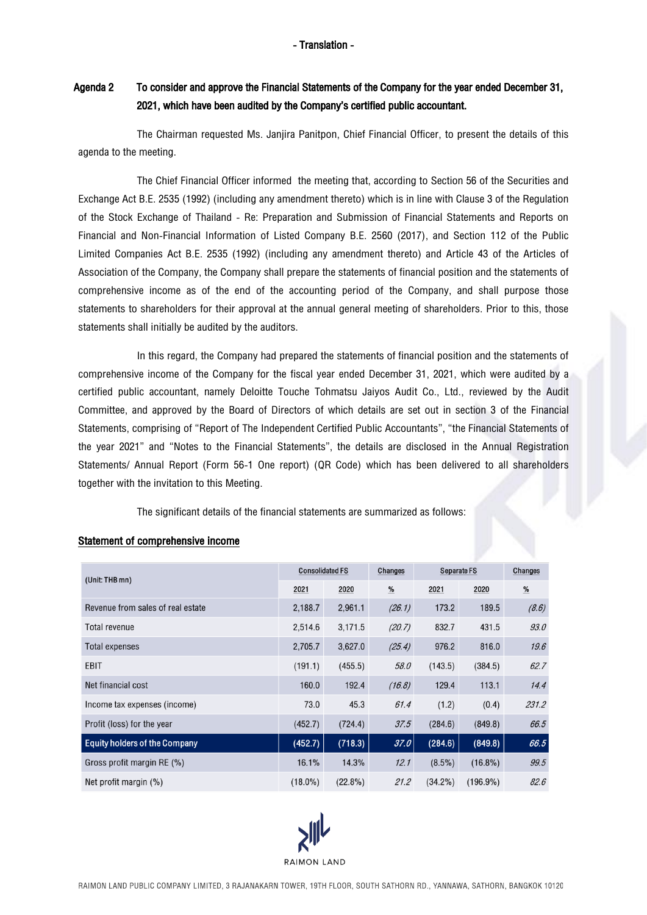# Agenda 2 To consider and approve the Financial Statements of the Company for the year ended December 31, 2021, which have been audited by the Company's certified public accountant.

The Chairman requested Ms. Janjira Panitpon, Chief Financial Officer, to present the details of this agenda to the meeting.

The Chief Financial Officer informed the meeting that, according to Section 56 of the Securities and Exchange Act B.E. 2535 (1992) (including any amendment thereto) which is in line withClause 3 of the Regulation of the Stock Exchange of Thailand - Re: Preparation and Submission of Financial Statements and Reports on Financial and Non-Financial Information of Listed Company B.E. 2560 (2017), and Section 112 of the Public Limited Companies Act B.E. 2535 (1992) (including any amendment thereto) and Article 43 of the Articles of Association of the Company, the Company shall prepare the statements of financial position and the statements of comprehensive income as of the end of the accounting period of the Company, and shall purpose those statements to shareholders for their approval at the annual general meeting of shareholders. Prior to this, those statements shall initially be audited by the auditors.

In this regard, the Company had prepared the statements of financial position and the statements of comprehensive income of the Company for the fiscal year ended December 31, 2021, which were audited by a certified public accountant, namely Deloitte Touche Tohmatsu Jaiyos Audit Co., Ltd., reviewed by the Audit Committee, and approved by the Board of Directors of which details are set out in section 3 of the Financial Statements, comprising of "Report of The Independent Certified Public Accountants", "the Financial Statements of the year 2021" and "Notes to the Financial Statements", the details are disclosed in the Annual Registration Statements/ Annual Report (Form 56-1 One report) (QR Code) which has been delivered to all shareholders together with the invitation to this Meeting.

The significant details of the financial statements are summarized as follows:

| (Unit: THB mn)                       | <b>Consolidated FS</b> |            | Changes | <b>Separate FS</b> |             | Changes       |
|--------------------------------------|------------------------|------------|---------|--------------------|-------------|---------------|
|                                      | 2021                   | 2020       | $\%$    | 2021               | 2020        | $\frac{9}{6}$ |
| Revenue from sales of real estate    | 2,188.7                | 2,961.1    | (26.1)  | 173.2              | 189.5       | (8.6)         |
| Total revenue                        | 2,514.6                | 3,171.5    | (20.7)  | 832.7              | 431.5       | 93.0          |
| <b>Total expenses</b>                | 2,705.7                | 3,627.0    | (25.4)  | 976.2              | 816.0       | 19.6          |
| <b>EBIT</b>                          | (191.1)                | (455.5)    | 58.0    | (143.5)            | (384.5)     | 62.7          |
| Net financial cost                   | 160.0                  | 192.4      | (16.8)  | 129.4              | 113.1       | 14.4          |
| Income tax expenses (income)         | 73.0                   | 45.3       | 61.4    | (1.2)              | (0.4)       | 231.2         |
| Profit (loss) for the year           | (452.7)                | (724.4)    | 37.5    | (284.6)            | (849.8)     | 66.5          |
| <b>Equity holders of the Company</b> | (452.7)                | (718.3)    | 37.0    | (284.6)            | (849.8)     | 66.5          |
| Gross profit margin RE (%)           | 16.1%                  | 14.3%      | 12.1    | $(8.5\%)$          | $(16.8\%)$  | 99.5          |
| Net profit margin (%)                | $(18.0\%)$             | $(22.8\%)$ | 21.2    | $(34.2\%)$         | $(196.9\%)$ | 82.6          |

## Statement of comprehensive income

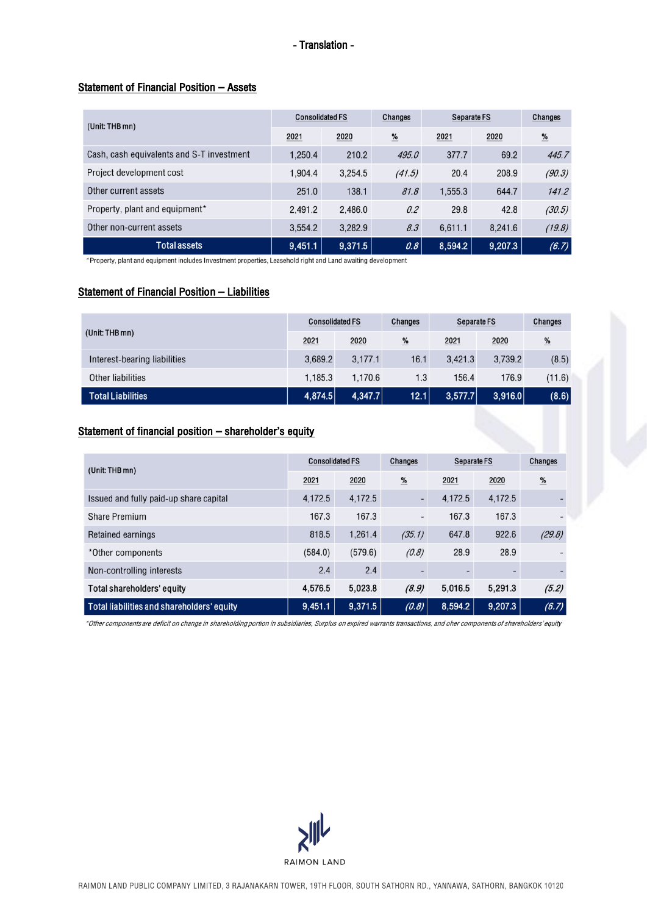## Statement of Financial Position – Assets

| (Unit: THB mn)                            | <b>Consolidated FS</b> |         | Changes                | <b>Separate FS</b> |         | Changes       |
|-------------------------------------------|------------------------|---------|------------------------|--------------------|---------|---------------|
|                                           | 2021                   | 2020    | $\frac{\mathbf{0}}{2}$ | 2021               | 2020    | $\frac{9}{6}$ |
| Cash, cash equivalents and S-T investment | 1,250.4                | 210.2   | 495.0                  | 377.7              | 69.2    | 445.7         |
| Project development cost                  | 1.904.4                | 3,254.5 | (41.5)                 | 20.4               | 208.9   | (90.3)        |
| Other current assets                      | 251.0                  | 138.1   | 81.8                   | 1,555.3            | 644.7   | 141.2         |
| Property, plant and equipment*            | 2.491.2                | 2.486.0 | 0.2                    | 29.8               | 42.8    | (30.5)        |
| Other non-current assets                  | 3.554.2                | 3.282.9 | 8.3                    | 6,611.1            | 8,241.6 | (19.8)        |
| <b>Total assets</b>                       | 9,451.1                | 9,371.5 | 0.8                    | 8,594.2            | 9,207.3 | (6.7)         |

\*Property, plant and equipment includes Investment properties, Leasehold right and Land awaiting development

## Statement of Financial Position – Liabilities

|                              | <b>Consolidated FS</b> |         | Changes | Separate FS |         | Changes |
|------------------------------|------------------------|---------|---------|-------------|---------|---------|
| (Unit: THB mn)               | 2021                   | 2020    | %       | 2021        | 2020    | %       |
| Interest-bearing liabilities | 3.689.2                | 3.177.1 | 16.1    | 3.421.3     | 3.739.2 | (8.5)   |
| Other liabilities            | 1.185.3                | 1.170.6 | 1.3     | 156.4       | 176.9   | (11.6)  |
| <b>Total Liabilities</b>     | 4,874.5                | 4,347.7 | 12.1    | 3,577.7     | 3,916.0 | (8.6)   |

## Statement of financial position - shareholder's equity

| (Unit: THB mn)                             | <b>Consolidated FS</b> |         | Changes                  | Separate FS |                          | Changes       |
|--------------------------------------------|------------------------|---------|--------------------------|-------------|--------------------------|---------------|
|                                            | 2021                   | 2020    | %                        | 2021        | 2020                     | $\frac{9}{6}$ |
| Issued and fully paid-up share capital     | 4,172.5                | 4.172.5 | $\overline{\phantom{a}}$ | 4.172.5     | 4.172.5                  |               |
| Share Premium                              | 167.3                  | 167.3   | $\overline{\phantom{0}}$ | 167.3       | 167.3                    |               |
| Retained earnings                          | 818.5                  | 1.261.4 | (35.1)                   | 647.8       | 922.6                    | (29.8)        |
| *Other components                          | (584.0)                | (579.6) | (0.8)                    | 28.9        | 28.9                     |               |
| Non-controlling interests                  | 2.4                    | 2.4     | $\overline{\phantom{0}}$ |             | $\overline{\phantom{0}}$ |               |
| Total shareholders' equity                 | 4,576.5                | 5,023.8 | (8.9)                    | 5,016.5     | 5,291.3                  | (5.2)         |
| Total liabilities and shareholders' equity | 9,451.1                | 9,371.5 | (0.8)                    | 8,594.2     | 9,207.3                  | (6.7)         |

\*Other components are deficit on change in shareholding portion in subsidiaries, Surplus on expired warrants transactions, and oher components of shareholders' equity

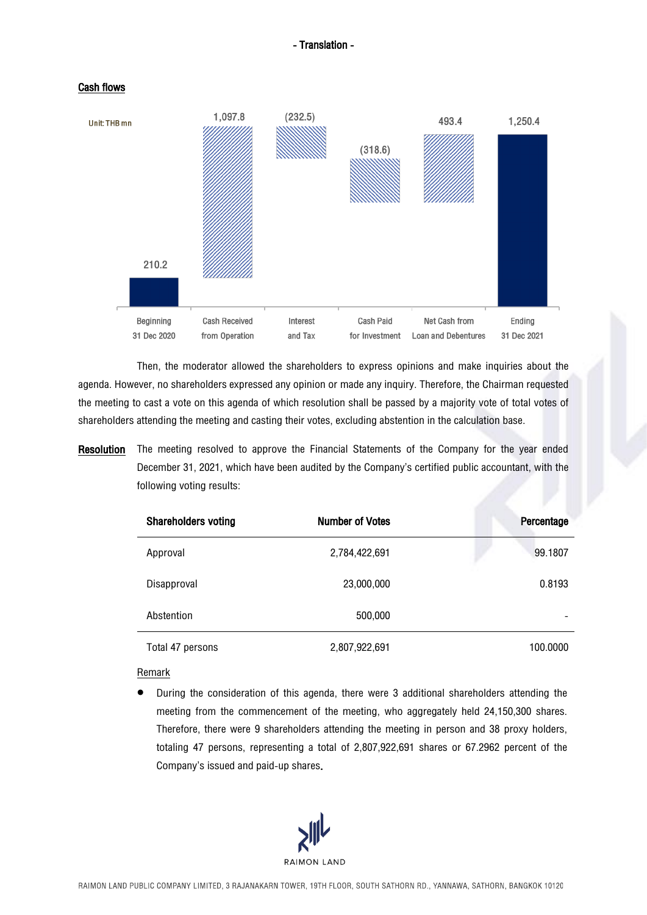



Then, the moderator allowed the shareholders to express opinions and make inquiries about the agenda. However, no shareholders expressed any opinion or made any inquiry. Therefore, the Chairman requested the meeting to cast a vote on this agenda of which resolution shall be passed by a majority vote of total votes of shareholders attending the meeting and casting their votes, excluding abstention in the calculation base.

# Resolution The meeting resolved to approve the Financial Statements of the Company for the year ended December 31, 2021, which have been audited by the Company's certified public accountant, with the following voting results:

| <b>Shareholders voting</b> | <b>Number of Votes</b> | Percentage |
|----------------------------|------------------------|------------|
| Approval                   | 2,784,422,691          | 99.1807    |
| Disapproval                | 23,000,000             | 0.8193     |
| Abstention                 | 500,000                |            |
| Total 47 persons           | 2,807,922,691          | 100,0000   |

### Remark

• During the consideration of this agenda, there were 3 additional shareholders attending the meeting from the commencement of the meeting, who aggregately held 24,150,300 shares. Therefore, there were 9 shareholders attending the meeting in person and 38 proxy holders, totaling 47 persons, representing a total of 2,807,922,691 shares or 67.2962 percent of the Company's issued and paid-up shares.

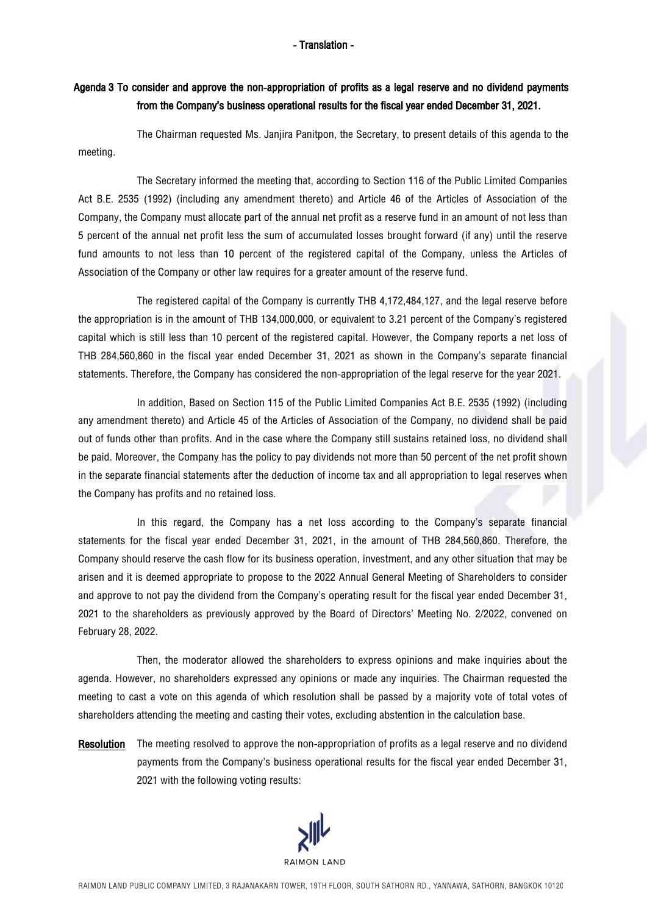## Agenda 3 To consider and approve the non-appropriation of profits as a legal reserve and no dividend payments from the Company's business operational results for the fiscal year ended December 31, 2021.

The Chairman requested Ms. Janjira Panitpon, the Secretary, to present details of this agenda to the meeting.

The Secretary informed the meeting that, according to Section 116 of the Public Limited Companies Act B.E. 2535 (1992) (including any amendment thereto) and Article 46 of the Articles of Association of the Company, the Company must allocate part of the annual net profit as a reserve fund in an amount of not less than 5 percent of the annual net profit less the sum of accumulated losses brought forward (if any) until the reserve fund amounts to not less than 10 percent of the registered capital of the Company, unless the Articles of Association of the Company or other law requires for a greater amount of the reserve fund.

The registered capital of the Company is currently THB 4,172,484,127, and the legal reserve before the appropriation is in the amount of THB 134,000,000, or equivalent to 3.21 percent of the Company's registered capital which is still less than 10 percent of the registered capital. However, the Company reports a net loss of THB 284,560,860 in the fiscal year ended December 31, 2021 as shown in the Company's separate financial statements. Therefore, the Company has considered the non-appropriation of the legal reserve for the year 2021.

In addition, Based on Section 115 of the Public Limited Companies Act B.E. 2535 (1992) (including any amendment thereto) and Article 45 of the Articles of Association of the Company, no dividend shall be paid out of funds other than profits. And in the case where the Company still sustains retained loss, no dividend shall be paid. Moreover, the Company has the policy to pay dividends not more than 50 percent of the net profit shown in the separate financial statements after the deduction of income tax and all appropriation to legal reserves when the Company has profits and no retained loss.

In this regard, the Company has a net loss according to the Company's separate financial statements for the fiscal year ended December 31, 2021, in the amount of THB 284,560,860. Therefore, the Company should reserve the cash flow for its business operation, investment, and any other situation that may be arisen and it is deemed appropriate to propose to the 2022 Annual General Meeting of Shareholders to consider and approve to not pay the dividend from the Company's operating result for the fiscal year ended December 31, 2021 to the shareholders as previously approved by the Board of Directors' Meeting No. 2/2022, convened on February 28, 2022.

Then, the moderator allowed the shareholders to express opinions and make inquiries about the agenda. However, no shareholders expressed any opinions or made any inquiries. The Chairman requested the meeting to cast a vote on this agenda of which resolution shall be passed by a majority vote of total votes of shareholders attending the meeting and casting their votes, excluding abstention in the calculation base.

Resolution The meeting resolved to approve the non-appropriation of profits as a legal reserve and no dividend payments from the Company's business operational results for the fiscal year ended December 31, 2021 with the following voting results:

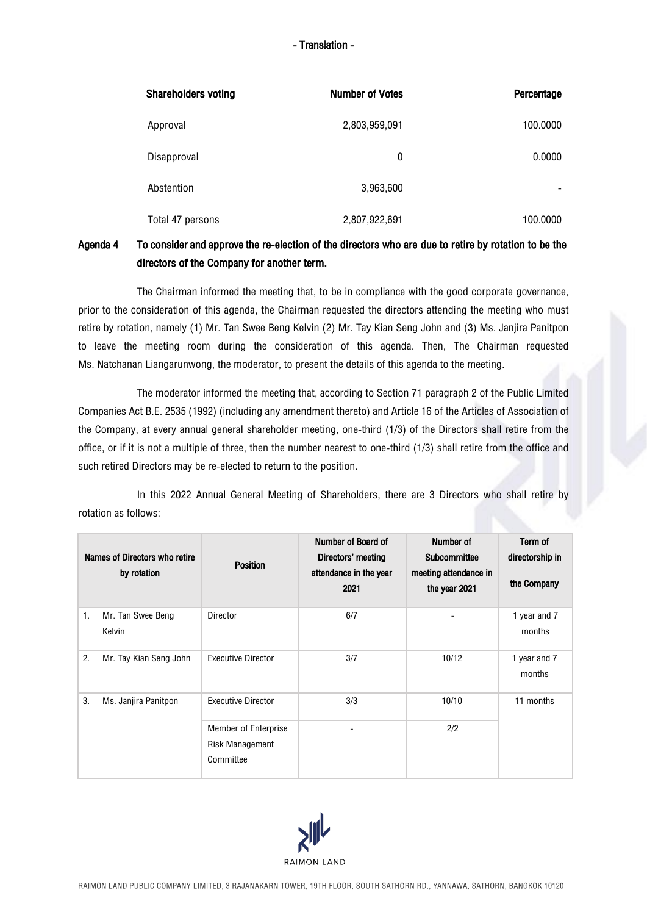| <b>Shareholders voting</b> | <b>Number of Votes</b> | Percentage |
|----------------------------|------------------------|------------|
| Approval                   | 2,803,959,091          | 100,0000   |
| Disapproval                | 0                      | 0.0000     |
| Abstention                 | 3,963,600              |            |
| Total 47 persons           | 2,807,922,691          | 100,0000   |

# Agenda 4 To consider and approve the re-election of the directors who are due to retire by rotation to be the directors of the Company for another term.

The Chairman informed the meeting that, to be in compliance with the good corporate governance, prior to the consideration of this agenda, the Chairman requested the directors attending the meeting who must retire by rotation, namely (1) Mr. Tan Swee Beng Kelvin (2) Mr. Tay Kian Seng John and (3) Ms. Janjira Panitpon to leave the meeting room during the consideration of this agenda. Then, The Chairman requested Ms. Natchanan Liangarunwong, the moderator, to present the details of this agenda to the meeting.

The moderator informed the meeting that, according to Section 71 paragraph 2 of the Public Limited Companies Act B.E. 2535 (1992) (including any amendment thereto) and Article 16 of the Articles of Association of the Company, at every annual general shareholder meeting, one-third (1/3) of the Directors shall retire from the office, or if it is not a multiple of three, then the number nearest to one-third (1/3) shall retire from the office and such retired Directors may be re-elected to return to the position.

In this 2022 Annual General Meeting of Shareholders, there are 3 Directors who shall retire by rotation as follows:

|    | Names of Directors who retire<br>by rotation | <b>Position</b>                                                    | Number of Board of<br>Directors' meeting<br>attendance in the year<br>2021 | Number of<br>Subcommittee<br>meeting attendance in<br>the year 2021 | Term of<br>directorship in<br>the Company |
|----|----------------------------------------------|--------------------------------------------------------------------|----------------------------------------------------------------------------|---------------------------------------------------------------------|-------------------------------------------|
| 1. | Mr. Tan Swee Beng<br>Kelvin                  | <b>Director</b>                                                    | 6/7                                                                        |                                                                     | 1 year and 7<br>months                    |
| 2. | Mr. Tay Kian Seng John                       | <b>Executive Director</b>                                          | 3/7                                                                        | 10/12                                                               | 1 year and 7<br>months                    |
| 3. | Ms. Janjira Panitpon                         | <b>Executive Director</b>                                          | 3/3                                                                        | 10/10                                                               | 11 months                                 |
|    |                                              | <b>Member of Enterprise</b><br><b>Risk Management</b><br>Committee |                                                                            | 2/2                                                                 |                                           |

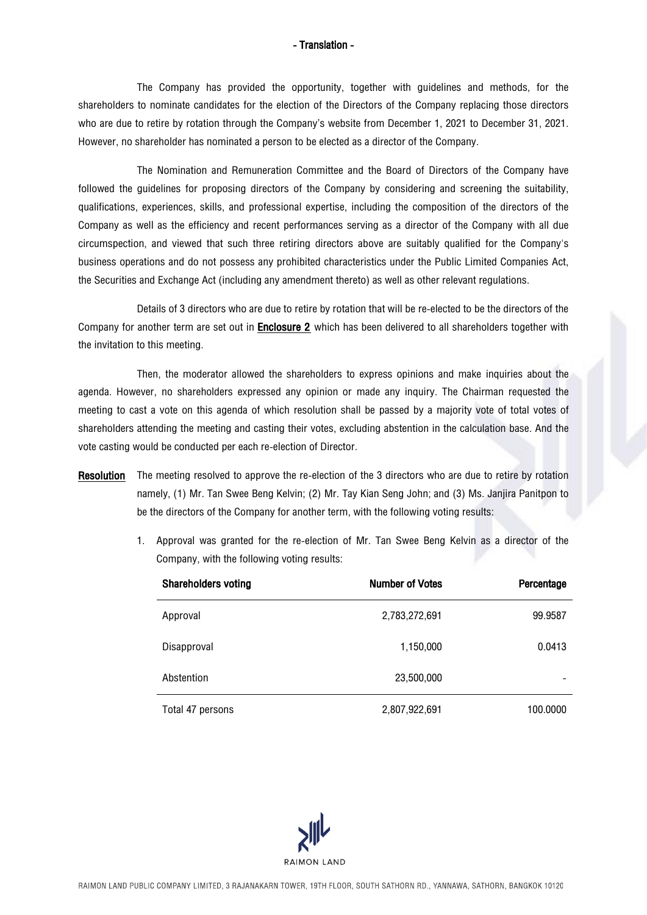The Company has provided the opportunity, together with guidelines and methods, for the shareholders to nominate candidates for the election of the Directors of the Company replacing those directors who are due to retire by rotation through the Company's website from December 1, 2021 to December 31, 2021. However, no shareholder has nominated a person to be elected as a director of the Company.

The Nomination and Remuneration Committee and the Board of Directors of the Company have followed the guidelines for proposing directors of the Company by considering and screening the suitability, qualifications, experiences, skills, and professional expertise, including the composition of the directors of the Company as well as the efficiency and recent performances serving as a director of the Company with all due circumspection, and viewed that such three retiring directors above are suitably qualified for the Company's business operations and do not possess any prohibited characteristics under the Public Limited Companies Act, the Securities and Exchange Act (including any amendment thereto) as well as other relevant regulations.

Details of 3 directors who are due to retire by rotation that will be re-elected to be the directors of the Company for another term are set out in Enclosure 2 which has been delivered to all shareholders together with the invitation to this meeting.

Then, the moderator allowed the shareholders to express opinions and make inquiries about the agenda. However, no shareholders expressed any opinion or made any inquiry. The Chairman requested the meeting to cast a vote on this agenda of which resolution shall be passed by a majority vote of total votes of shareholders attending the meeting and casting their votes, excluding abstention in the calculation base. And the vote casting would be conducted per each re-election of Director.

- Resolution The meeting resolved to approve the re-election of the 3 directors who are due to retire by rotation namely, (1) Mr. Tan Swee Beng Kelvin; (2) Mr. Tay Kian Seng John; and (3) Ms. Janjira Panitpon to be the directors of the Company for another term, with the following voting results:
	- 1. Approval was granted for the re-election of Mr. Tan Swee Beng Kelvin as a director of the Company, with the following voting results:

| <b>Shareholders voting</b> | <b>Number of Votes</b> | Percentage |
|----------------------------|------------------------|------------|
| Approval                   | 2,783,272,691          | 99.9587    |
| Disapproval                | 1,150,000              | 0.0413     |
| Abstention                 | 23,500,000             |            |
| Total 47 persons           | 2,807,922,691          | 100.0000   |

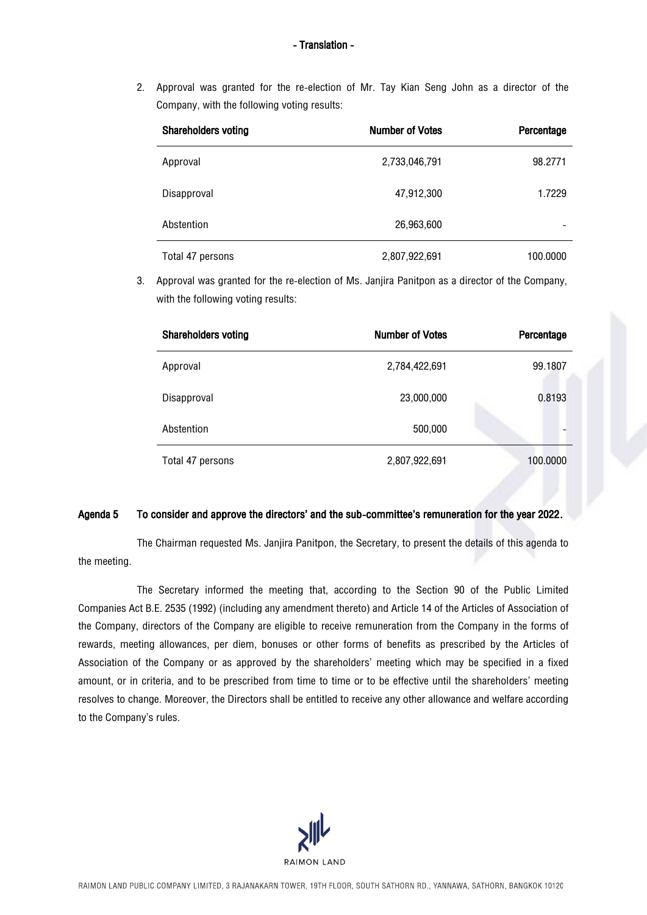2. Approval was granted for the re-election of Mr. Tay Kian Seng John as a director of the Company, with the following voting results:

| <b>Shareholders voting</b> | <b>Number of Votes</b> | Percentage |
|----------------------------|------------------------|------------|
| Approval                   | 2,733,046,791          | 98.2771    |
| Disapproval                | 47,912,300             | 1.7229     |
| Abstention                 | 26,963,600             |            |
| Total 47 persons           | 2,807,922,691          | 100.0000   |

3. Approval was granted for the re-election of Ms. Janjira Panitpon as a director of the Company, with the following voting results:

| <b>Shareholders voting</b> | <b>Number of Votes</b> | Percentage |
|----------------------------|------------------------|------------|
| Approval                   | 2,784,422,691          | 99.1807    |
| Disapproval                | 23,000,000             | 0.8193     |
| Abstention                 | 500,000                |            |
| Total 47 persons           | 2,807,922,691          | 100.0000   |

### Agenda 5 To consider and approve the directors' and the sub-committee's remuneration for the year 2022.

The Chairman requested Ms. Janjira Panitpon, the Secretary, to present the details of this agenda to the meeting.

The Secretary informed the meeting that, according to the Section 90 of the Public Limited Companies Act B.E. 2535 (1992) (including any amendment thereto) and Article 14 of the Articles of Association of the Company, directors of the Company are eligible to receive remuneration from the Company in the forms of rewards, meeting allowances, per diem, bonuses or other forms of benefits as prescribed by the Articles of Association of the Company or as approved by the shareholders' meeting which may be specified in a fixed amount, or in criteria, and to be prescribed from time to time or to be effective until the shareholders' meeting resolves to change. Moreover, the Directors shall be entitled to receive any other allowance and welfare according to the Company's rules.

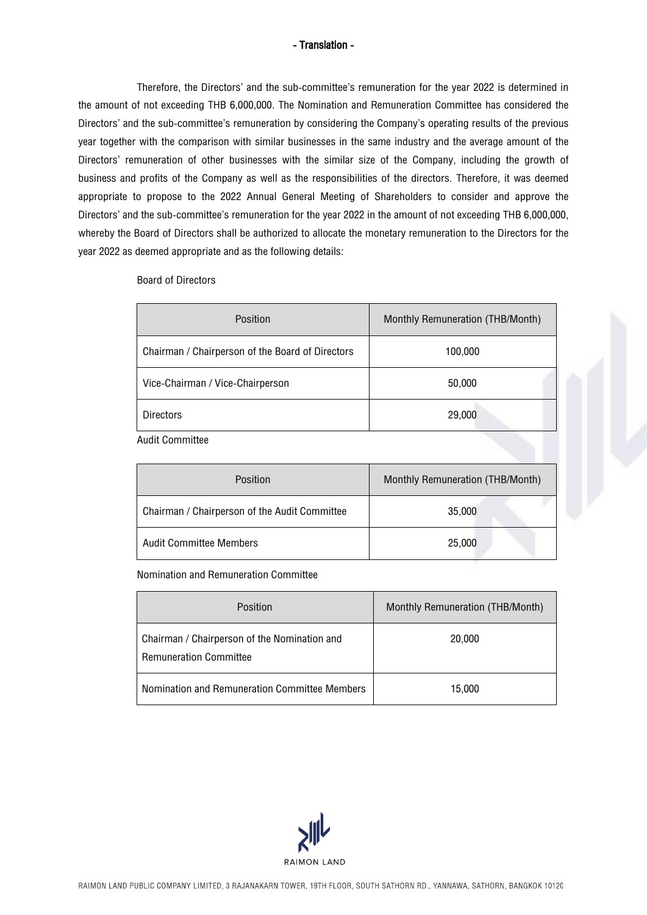Therefore, the Directors' and the sub-committee's remuneration for the year 2022 is determined in the amount of not exceeding THB 6,000,000. The Nomination and Remuneration Committee has considered the Directors' and the sub-committee's remuneration by considering the Company's operating results of the previous year together with the comparison with similar businesses in the same industry and the average amount of the Directors' remuneration of other businesses with the similar size of the Company, including the growth of business and profits of the Company as well as the responsibilities of the directors. Therefore, it was deemed appropriate to propose to the 2022 Annual General Meeting of Shareholders to consider and approve the Directors' and the sub-committee's remuneration for the year 2022 in the amount of not exceeding THB 6,000,000, whereby the Board of Directors shall be authorized to allocate the monetary remuneration to the Directors for the year 2022 as deemed appropriate and as the following details:

| <b>Board of Directors</b> |
|---------------------------|
|                           |

| Position                                         | Monthly Remuneration (THB/Month) |
|--------------------------------------------------|----------------------------------|
| Chairman / Chairperson of the Board of Directors | 100,000                          |
| Vice-Chairman / Vice-Chairperson                 | 50,000                           |
| <b>Directors</b>                                 | 29,000                           |
|                                                  |                                  |

Audit Committee

| Position                                      | Monthly Remuneration (THB/Month) |
|-----------------------------------------------|----------------------------------|
| Chairman / Chairperson of the Audit Committee | 35,000                           |
| <b>Audit Committee Members</b>                | 25,000                           |

Nomination and Remuneration Committee

| Position                                                                      | Monthly Remuneration (THB/Month) |
|-------------------------------------------------------------------------------|----------------------------------|
| Chairman / Chairperson of the Nomination and<br><b>Remuneration Committee</b> | 20,000                           |
| Nomination and Remuneration Committee Members                                 | 15.000                           |

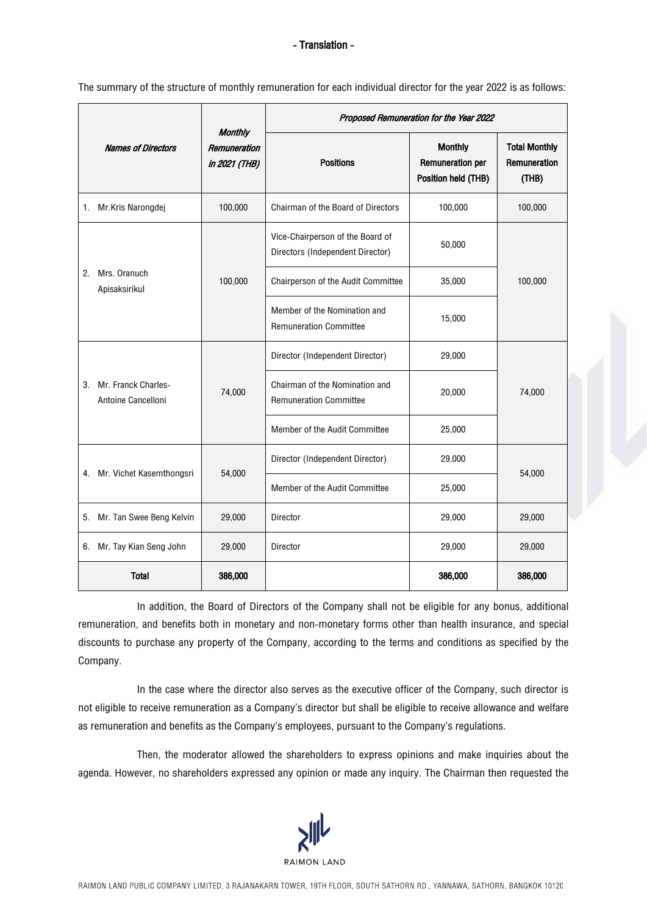The summary of the structure of monthly remuneration for each individual director for the year 2022 is as follows:

|                                                 |                                                                              |         | Proposed Remuneration for the Year 2022                              |                                                                  |                                               |  |
|-------------------------------------------------|------------------------------------------------------------------------------|---------|----------------------------------------------------------------------|------------------------------------------------------------------|-----------------------------------------------|--|
|                                                 | <b>Monthly</b><br><b>Names of Directors</b><br>Remuneration<br>in 2021 (THB) |         | <b>Positions</b>                                                     | <b>Monthly</b><br><b>Remuneration per</b><br>Position held (THB) | <b>Total Monthly</b><br>Remuneration<br>(THB) |  |
| Mr.Kris Narongdej<br>$1_{\cdot}$                |                                                                              | 100,000 | Chairman of the Board of Directors                                   | 100,000                                                          | 100,000                                       |  |
|                                                 |                                                                              |         | Vice-Chairperson of the Board of<br>Directors (Independent Director) | 50,000                                                           |                                               |  |
| Mrs. Oranuch<br>2.<br>Apisaksirikul             |                                                                              | 100,000 | Chairperson of the Audit Committee                                   | 35,000                                                           | 100,000                                       |  |
|                                                 |                                                                              |         | Member of the Nomination and<br><b>Remuneration Committee</b>        | 15,000                                                           |                                               |  |
|                                                 |                                                                              |         | Director (Independent Director)                                      | 29,000                                                           |                                               |  |
| Mr. Franck Charles-<br>3.<br>Antoine Cancelloni |                                                                              | 74,000  | Chairman of the Nomination and<br><b>Remuneration Committee</b>      | 20,000                                                           | 74,000                                        |  |
|                                                 |                                                                              |         | Member of the Audit Committee                                        | 25,000                                                           |                                               |  |
|                                                 |                                                                              |         | Director (Independent Director)                                      | 29,000                                                           |                                               |  |
| 4. Mr. Vichet Kasemthongsri                     |                                                                              | 54,000  | Member of the Audit Committee                                        | 25,000                                                           | 54,000                                        |  |
| 5. Mr. Tan Swee Beng Kelvin                     |                                                                              | 29,000  | Director                                                             | 29,000                                                           | 29,000                                        |  |
| 6. Mr. Tay Kian Seng John                       |                                                                              | 29,000  | Director                                                             | 29,000                                                           | 29,000                                        |  |
| <b>Total</b>                                    |                                                                              | 386,000 |                                                                      | 386,000                                                          | 386,000                                       |  |

In addition, the Board of Directors of the Company shall not be eligible for any bonus, additional remuneration, and benefits both in monetary and non-monetary forms other than health insurance, and special discounts to purchase any property of the Company, according to the terms and conditions as specified by the Company.

In the case where the director also serves as the executive officer of the Company, such director is not eligible to receive remuneration as a Company's director but shall be eligible to receive allowance and welfare as remuneration and benefits as the Company's employees, pursuant to the Company's regulations.

Then, the moderator allowed the shareholders to express opinions and make inquiries about the agenda. However, no shareholders expressed any opinion or made any inquiry. The Chairman then requested the

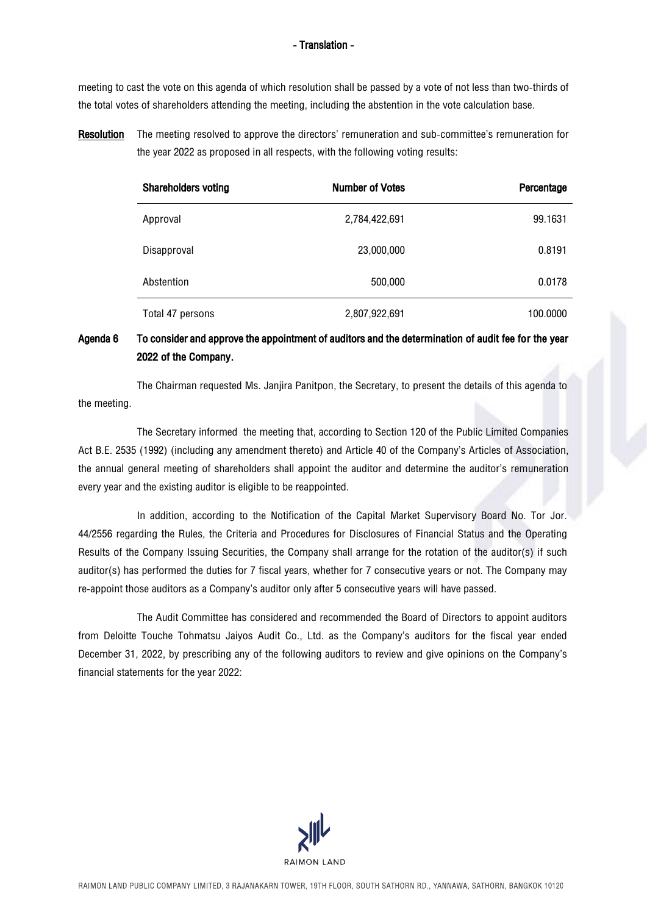meeting to cast the vote on this agenda of which resolution shall be passed by a vote of not less than two-thirds of the total votes of shareholders attending the meeting, including the abstention in the vote calculation base.

Resolution The meeting resolved to approve the directors' remuneration and sub-committee's remuneration for the year 2022 as proposed in all respects, with the following voting results:

| <b>Shareholders voting</b> | <b>Number of Votes</b> | Percentage |
|----------------------------|------------------------|------------|
| Approval                   | 2,784,422,691          | 99.1631    |
| Disapproval                | 23,000,000             | 0.8191     |
| Abstention                 | 500,000                | 0.0178     |
| Total 47 persons           | 2,807,922,691          | 100.0000   |

# Agenda 6 To consider and approve the appointment of auditors and the determination of audit fee for the year 2022 of the Company.

The Chairman requested Ms. Janjira Panitpon, the Secretary, to present the details of this agenda to the meeting.

The Secretary informed the meeting that, according to Section 120 of the Public Limited Companies Act B.E. 2535 (1992) (including any amendment thereto) and Article 40 of the Company's Articles of Association, the annual general meeting of shareholders shall appoint the auditor and determine the auditor's remuneration every year and the existing auditor is eligible to be reappointed.

In addition, according to the Notification of the Capital Market Supervisory Board No. Tor Jor. 44/2556 regarding the Rules, the Criteria and Procedures for Disclosures of Financial Status and the Operating Results of the Company Issuing Securities, the Company shall arrange for the rotation of the auditor(s) if such auditor(s) has performed the duties for 7 fiscal years, whether for 7 consecutive years or not. The Company may re-appoint those auditors as aCompany's auditor only after 5 consecutive years will have passed.

The Audit Committee has considered and recommended the Board of Directors to appoint auditors from Deloitte Touche Tohmatsu Jaiyos Audit Co., Ltd. as the Company's auditors for the fiscal year ended December 31, 2022, by prescribing any of the following auditors to review and give opinions on the Company's financial statements for the year 2022:

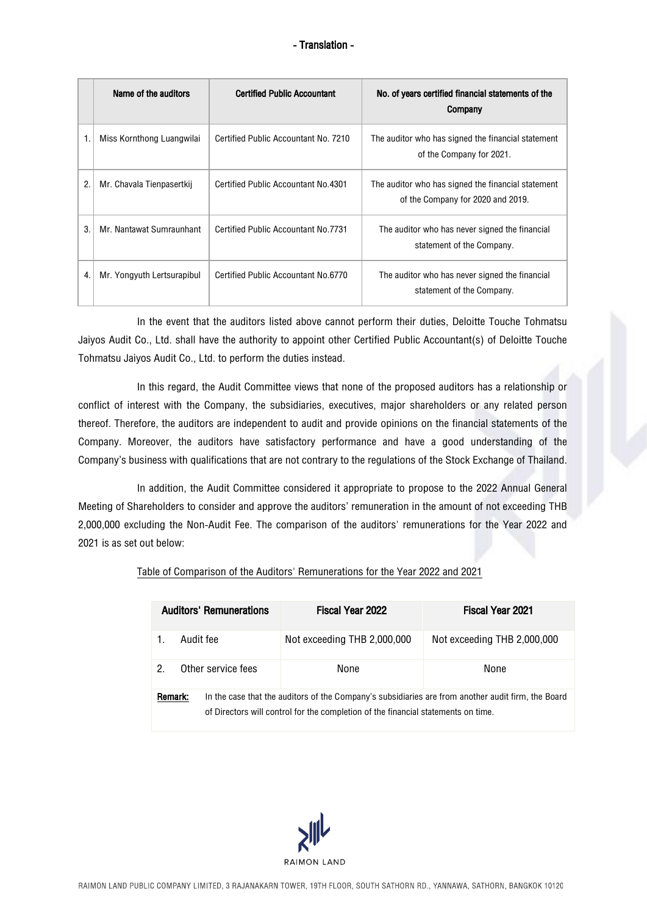|    | Name of the auditors       | <b>Certified Public Accountant</b>   | No. of years certified financial statements of the<br>Company                           |
|----|----------------------------|--------------------------------------|-----------------------------------------------------------------------------------------|
|    | Miss Kornthong Luangwilai  | Certified Public Accountant No. 7210 | The auditor who has signed the financial statement<br>of the Company for 2021.          |
| 2. | Mr. Chavala Tienpasertkij  | Certified Public Accountant No. 4301 | The auditor who has signed the financial statement<br>of the Company for 2020 and 2019. |
| 3. | Mr. Nantawat Sumraunhant   | Certified Public Accountant No.7731  | The auditor who has never signed the financial<br>statement of the Company.             |
| 4. | Mr. Yongyuth Lertsurapibul | Certified Public Accountant No.6770  | The auditor who has never signed the financial<br>statement of the Company.             |

In the event that the auditors listed above cannot perform their duties, Deloitte Touche Tohmatsu Jaiyos Audit Co., Ltd. shall have the authority to appoint other Certified Public Accountant(s) of Deloitte Touche Tohmatsu Jaiyos Audit Co., Ltd. to perform the duties instead.

In this regard, the Audit Committee views that none of the proposed auditors has a relationship or conflict of interest with the Company, the subsidiaries, executives, major shareholders or any related person thereof. Therefore, the auditors are independent to audit and provide opinions on the financial statements of the Company. Moreover, the auditors have satisfactory performance and have a good understanding of the Company's business with qualifications that are not contrary to the regulations of the Stock Exchange of Thailand.

In addition, the Audit Committee considered it appropriate to propose to the 2022 Annual General Meeting of Shareholders to consider and approve the auditors' remuneration in the amount of not exceeding THB 2,000,000 excluding the Non-Audit Fee. The comparison of the auditors' remunerations for the Year 2022 and 2021 is as set out below:

|  | Table of Comparison of the Auditors' Remunerations for the Year 2022 and 2021 |  |  |
|--|-------------------------------------------------------------------------------|--|--|
|  |                                                                               |  |  |

|         | <b>Auditors' Remunerations</b> |                    | Fiscal Year 2022                                                                                                                                                                        | <b>Fiscal Year 2021</b>     |  |  |  |
|---------|--------------------------------|--------------------|-----------------------------------------------------------------------------------------------------------------------------------------------------------------------------------------|-----------------------------|--|--|--|
|         |                                | Audit fee          | Not exceeding THB 2,000,000                                                                                                                                                             | Not exceeding THB 2,000,000 |  |  |  |
| 2       |                                | Other service fees | None                                                                                                                                                                                    | None                        |  |  |  |
| Remark: |                                |                    | In the case that the auditors of the Company's subsidiaries are from another audit firm, the Board<br>of Directors will control for the completion of the financial statements on time. |                             |  |  |  |

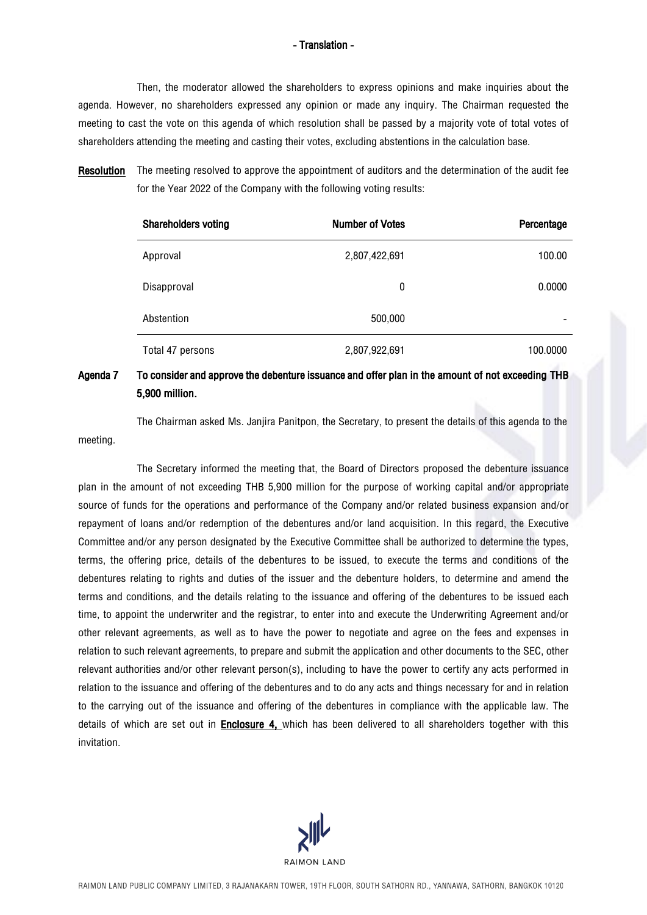Then, the moderator allowed the shareholders to express opinions and make inquiries about the agenda. However, no shareholders expressed any opinion or made any inquiry. The Chairman requested the meeting to cast the vote on this agenda of which resolution shall be passed by a majority vote of total votes of shareholders attending the meeting and casting their votes, excluding abstentions in the calculation base.

Resolution The meeting resolved to approve the appointment of auditors and the determination of the audit fee for the Year 2022 of the Company with the following voting results:

| <b>Shareholders voting</b> | <b>Number of Votes</b> | Percentage |
|----------------------------|------------------------|------------|
| Approval                   | 2,807,422,691          | 100.00     |
| Disapproval                | 0                      | 0.0000     |
| Abstention                 | 500,000                |            |
| Total 47 persons           | 2,807,922,691          | 100.0000   |

## Agenda 7 To consider and approve the debenture issuance and offer plan in the amount of not exceeding THB 5,900 million.

The Chairman asked Ms. Janjira Panitpon, the Secretary, to present the details of this agenda to the meeting.

The Secretary informed the meeting that, the Board of Directors proposed the debenture issuance plan in the amount of not exceeding THB 5,900 million for the purpose of working capital and/or appropriate source of funds for the operations and performance of the Company and/or related business expansion and/or repayment of loans and/or redemption of the debentures and/or land acquisition. In this regard, the Executive Committee and/or any person designated by the Executive Committee shall be authorized to determine the types, terms, the offering price, details of the debentures to be issued, to execute the terms and conditions of the debentures relating to rights and duties of the issuer and the debenture holders, to determine and amend the terms and conditions, and the details relating to the issuance and offering of the debentures to be issued each time, to appoint the underwriter and the registrar, to enter into and execute the Underwriting Agreement and/or other relevant agreements, as well as to have the power to negotiate and agree on the fees and expenses in relation to such relevant agreements, to prepare and submit the application and other documents to the SEC, other relevant authorities and/or other relevant person(s), including to have the power to certify any acts performed in relation to the issuance and offering of the debentures and to do any acts and things necessary for and in relation to the carrying out of the issuance and offering of the debentures in compliance with the applicable law. The details of which are set out in Enclosure 4, which has been delivered to all shareholders together with this invitation.

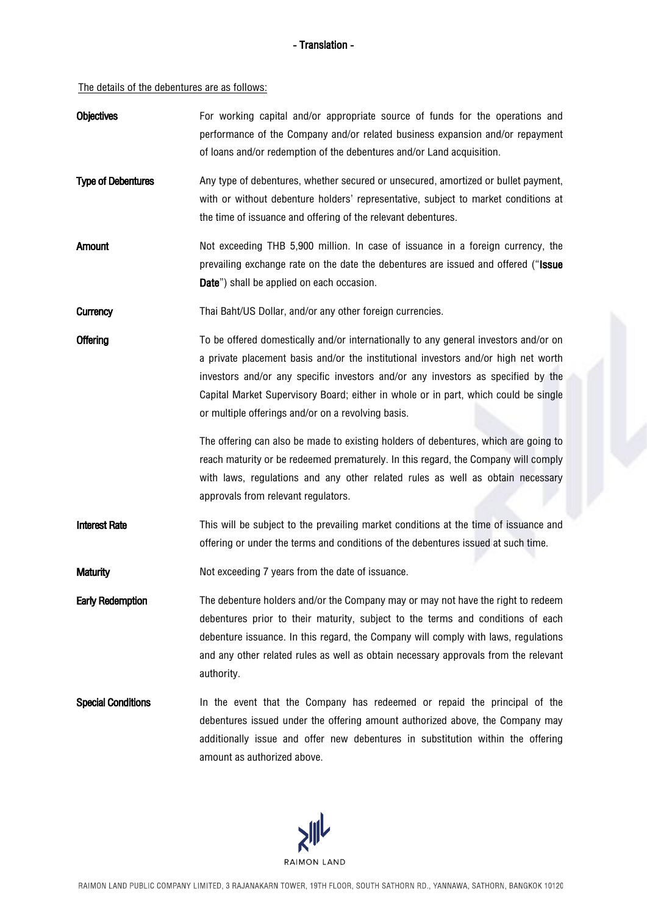The details of the debentures are as follows:

| <b>Objectives</b>         | For working capital and/or appropriate source of funds for the operations and<br>performance of the Company and/or related business expansion and/or repayment<br>of loans and/or redemption of the debentures and/or Land acquisition.                                                                                                                                                                     |  |
|---------------------------|-------------------------------------------------------------------------------------------------------------------------------------------------------------------------------------------------------------------------------------------------------------------------------------------------------------------------------------------------------------------------------------------------------------|--|
| <b>Type of Debentures</b> | Any type of debentures, whether secured or unsecured, amortized or bullet payment,<br>with or without debenture holders' representative, subject to market conditions at<br>the time of issuance and offering of the relevant debentures.                                                                                                                                                                   |  |
| Amount                    | Not exceeding THB 5,900 million. In case of issuance in a foreign currency, the<br>prevailing exchange rate on the date the debentures are issued and offered ("Issue<br>Date") shall be applied on each occasion.                                                                                                                                                                                          |  |
| <b>Currency</b>           | Thai Baht/US Dollar, and/or any other foreign currencies.                                                                                                                                                                                                                                                                                                                                                   |  |
| Offering                  | To be offered domestically and/or internationally to any general investors and/or on<br>a private placement basis and/or the institutional investors and/or high net worth<br>investors and/or any specific investors and/or any investors as specified by the<br>Capital Market Supervisory Board; either in whole or in part, which could be single<br>or multiple offerings and/or on a revolving basis. |  |
|                           | The offering can also be made to existing holders of debentures, which are going to<br>reach maturity or be redeemed prematurely. In this regard, the Company will comply<br>with laws, regulations and any other related rules as well as obtain necessary<br>approvals from relevant regulators.                                                                                                          |  |
| <b>Interest Rate</b>      | This will be subject to the prevailing market conditions at the time of issuance and<br>offering or under the terms and conditions of the debentures issued at such time.                                                                                                                                                                                                                                   |  |
| <b>Maturity</b>           | Not exceeding 7 years from the date of issuance.                                                                                                                                                                                                                                                                                                                                                            |  |
| <b>Early Redemption</b>   | The debenture holders and/or the Company may or may not have the right to redeem<br>debentures prior to their maturity, subject to the terms and conditions of each<br>debenture issuance. In this regard, the Company will comply with laws, regulations<br>and any other related rules as well as obtain necessary approvals from the relevant<br>authority.                                              |  |
| <b>Special Conditions</b> | In the event that the Company has redeemed or repaid the principal of the<br>debentures issued under the offering amount authorized above, the Company may<br>additionally issue and offer new debentures in substitution within the offering<br>amount as authorized above.                                                                                                                                |  |

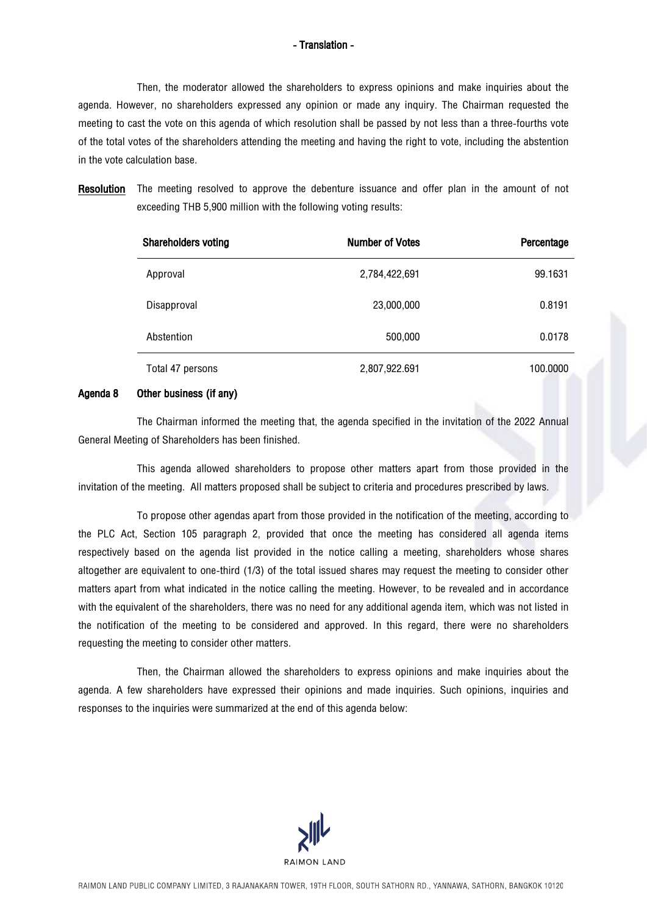Then, the moderator allowed the shareholders to express opinions and make inquiries about the agenda. However, no shareholders expressed any opinion or made any inquiry. The Chairman requested the meeting to cast the vote on this agenda of which resolution shall be passed by not less than a three-fourths vote of the total votes of the shareholders attending the meeting and having the right to vote, including the abstention in the vote calculation base.

Resolution The meeting resolved to approve the debenture issuance and offer plan in the amount of not exceeding THB 5,900 million with the following voting results:

| <b>Shareholders voting</b> | <b>Number of Votes</b> | Percentage |
|----------------------------|------------------------|------------|
| Approval                   | 2,784,422,691          | 99.1631    |
| Disapproval                | 23,000,000             | 0.8191     |
| Abstention                 | 500,000                | 0.0178     |
| Total 47 persons           | 2,807,922.691          | 100.0000   |

#### Agenda 8 Other business (if any)

The Chairman informed the meeting that, the agenda specified in the invitation of the 2022 Annual General Meeting of Shareholders has been finished.

This agenda allowed shareholders to propose other matters apart from those provided in the invitation of the meeting. All matters proposed shall be subject to criteria and procedures prescribed by laws.

To propose other agendas apart from those provided in the notification of the meeting, according to the PLC Act, Section 105 paragraph 2, provided that once the meeting has considered all agenda items respectively based on the agenda list provided in the notice calling a meeting, shareholders whose shares altogether are equivalent to one-third (1/3) of the total issued shares may request the meeting to consider other matters apart from what indicated in the notice calling the meeting. However, to be revealed and in accordance with the equivalent of the shareholders, there was no need for any additional agenda item, which was not listed in the notification of the meeting to be considered and approved. In this regard, there were no shareholders requesting the meeting to consider other matters.

Then, the Chairman allowed the shareholders to express opinions and make inquiries about the agenda. A few shareholders have expressed their opinions and made inquiries. Such opinions, inquiries and responses to the inquiries were summarized at the end of this agenda below:

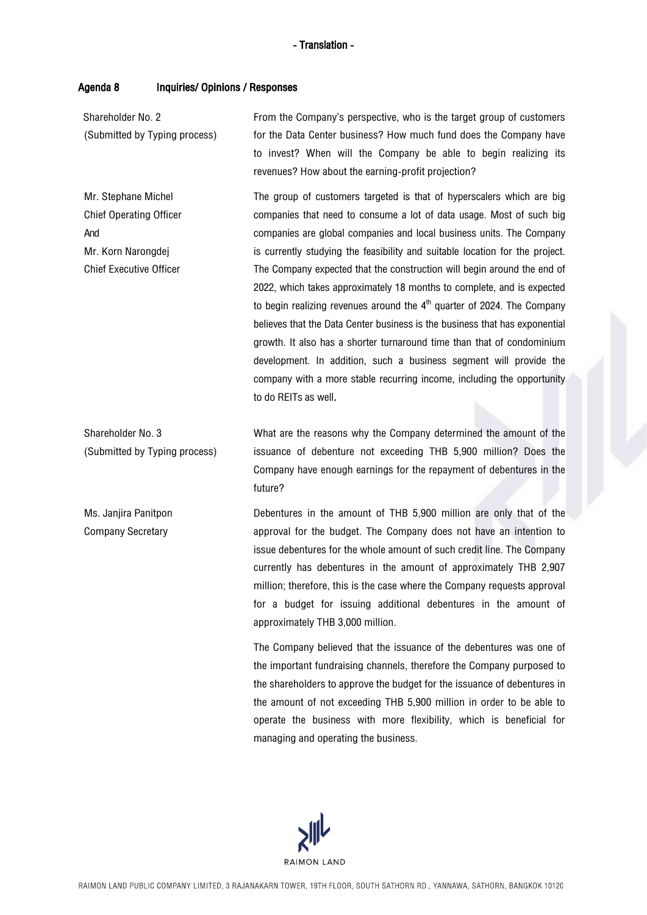#### Agenda 8 Inquiries/ Opinions / Responses

Shareholder No. 2 (Submitted by Typing process) From the Company's perspective, who is the target group of customers for the Data Center business? How much fund does the Company have to invest? When will the Company be able to begin realizing its revenues? How about the earning-profit projection?

Mr. Stephane Michel Chief Operating Officer And Mr. Korn Narongdej Chief Executive Officer The group of customers targeted is that of hyperscalers which are big companies that need to consume a lot of data usage. Most of such big companies are global companies and local business units. The Company is currently studying the feasibility and suitable location for the project. The Company expected that the construction will begin around the end of 2022, which takes approximately 18 months to complete, and is expected to begin realizing revenues around the  $4^{\text{th}}$  quarter of 2024. The Company believes that the Data Center business is the business that has exponential growth. It also has a shorter turnaround time than that of condominium development. In addition, such a business segment will provide the company with a more stable recurring income, including the opportunity to do REITs as well.

Shareholder No. 3 (Submitted by Typing process) What are the reasons why the Company determined the amount of the issuance of debenture not exceeding THB 5,900 million? Does the Company have enough earnings for the repayment of debentures in the future?

Ms. Janiira Panitpon Company Secretary Debentures in the amount of THB 5,900 million are only that of the approval for the budget. The Company does not have an intention to issue debentures for the whole amount of such credit line. The Company currently has debentures in the amount of approximately THB 2,907 million; therefore, this is the case where the Company requests approval for a budget for issuing additional debentures in the amount of approximately THB 3,000 million.

> The Company believed that the issuance of the debentures was one of the important fundraising channels, therefore the Company purposed to the shareholders to approve the budget for the issuance of debentures in the amount of not exceeding THB 5,900 million in order to be able to operate the business with more flexibility, which is beneficial for managing and operating the business.